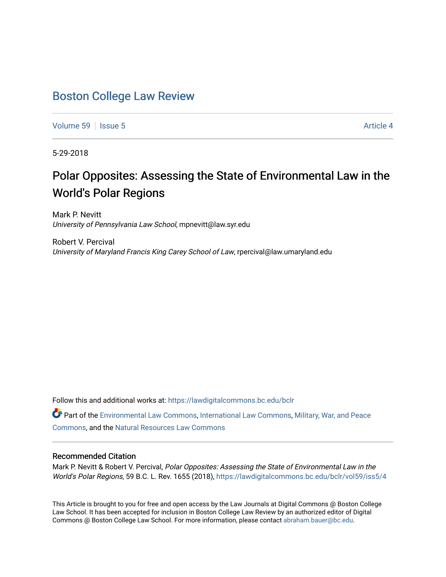# [Boston College Law Review](https://lawdigitalcommons.bc.edu/bclr)

[Volume 59](https://lawdigitalcommons.bc.edu/bclr/vol59) | [Issue 5](https://lawdigitalcommons.bc.edu/bclr/vol59/iss5) Article 4

5-29-2018

# Polar Opposites: Assessing the State of Environmental Law in the World's Polar Regions

Mark P. Nevitt University of Pennsylvania Law School, mpnevitt@law.syr.edu

Robert V. Percival University of Maryland Francis King Carey School of Law, rpercival@law.umaryland.edu

Follow this and additional works at: [https://lawdigitalcommons.bc.edu/bclr](https://lawdigitalcommons.bc.edu/bclr?utm_source=lawdigitalcommons.bc.edu%2Fbclr%2Fvol59%2Fiss5%2F4&utm_medium=PDF&utm_campaign=PDFCoverPages) 

Part of the [Environmental Law Commons](http://network.bepress.com/hgg/discipline/599?utm_source=lawdigitalcommons.bc.edu%2Fbclr%2Fvol59%2Fiss5%2F4&utm_medium=PDF&utm_campaign=PDFCoverPages), [International Law Commons](http://network.bepress.com/hgg/discipline/609?utm_source=lawdigitalcommons.bc.edu%2Fbclr%2Fvol59%2Fiss5%2F4&utm_medium=PDF&utm_campaign=PDFCoverPages), [Military, War, and Peace](http://network.bepress.com/hgg/discipline/861?utm_source=lawdigitalcommons.bc.edu%2Fbclr%2Fvol59%2Fiss5%2F4&utm_medium=PDF&utm_campaign=PDFCoverPages) [Commons](http://network.bepress.com/hgg/discipline/861?utm_source=lawdigitalcommons.bc.edu%2Fbclr%2Fvol59%2Fiss5%2F4&utm_medium=PDF&utm_campaign=PDFCoverPages), and the [Natural Resources Law Commons](http://network.bepress.com/hgg/discipline/863?utm_source=lawdigitalcommons.bc.edu%2Fbclr%2Fvol59%2Fiss5%2F4&utm_medium=PDF&utm_campaign=PDFCoverPages)

#### Recommended Citation

Mark P. Nevitt & Robert V. Percival, Polar Opposites: Assessing the State of Environmental Law in the World's Polar Regions, 59 B.C. L. Rev. 1655 (2018), [https://lawdigitalcommons.bc.edu/bclr/vol59/iss5/4](https://lawdigitalcommons.bc.edu/bclr/vol59/iss5/4?utm_source=lawdigitalcommons.bc.edu%2Fbclr%2Fvol59%2Fiss5%2F4&utm_medium=PDF&utm_campaign=PDFCoverPages) 

This Article is brought to you for free and open access by the Law Journals at Digital Commons @ Boston College Law School. It has been accepted for inclusion in Boston College Law Review by an authorized editor of Digital Commons @ Boston College Law School. For more information, please contact [abraham.bauer@bc.edu.](mailto:abraham.bauer@bc.edu)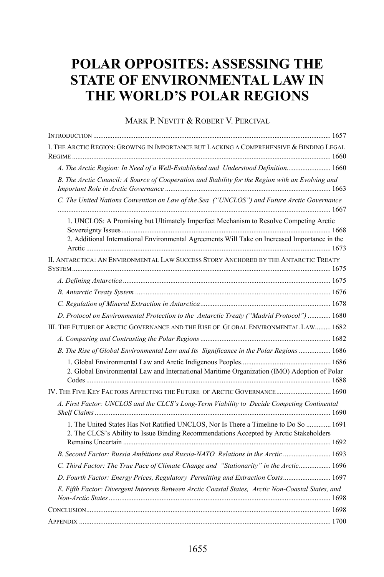# **POLAR OPPOSITES: ASSESSING THE STATE OF ENVIRONMENTAL LAW IN THE WORLD'S POLAR REGIONS**

#### MARK P. NEVITT & ROBERT V. PERCIVAL

| I. THE ARCTIC REGION: GROWING IN IMPORTANCE BUT LACKING A COMPREHENSIVE & BINDING LEGAL                                                                                        |
|--------------------------------------------------------------------------------------------------------------------------------------------------------------------------------|
| A. The Arctic Region: In Need of a Well-Established and Understood Definition 1660                                                                                             |
| B. The Arctic Council: A Source of Cooperation and Stability for the Region with an Evolving and                                                                               |
| C. The United Nations Convention on Law of the Sea ("UNCLOS") and Future Arctic Governance                                                                                     |
| 1. UNCLOS: A Promising but Ultimately Imperfect Mechanism to Resolve Competing Arctic                                                                                          |
| 2. Additional International Environmental Agreements Will Take on Increased Importance in the                                                                                  |
| II. ANTARCTICA: AN ENVIRONMENTAL LAW SUCCESS STORY ANCHORED BY THE ANTARCTIC TREATY                                                                                            |
|                                                                                                                                                                                |
|                                                                                                                                                                                |
|                                                                                                                                                                                |
| D. Protocol on Environmental Protection to the Antarctic Treaty ("Madrid Protocol")  1680                                                                                      |
| III. THE FUTURE OF ARCTIC GOVERNANCE AND THE RISE OF GLOBAL ENVIRONMENTAL LAW 1682                                                                                             |
|                                                                                                                                                                                |
| B. The Rise of Global Environmental Law and Its Significance in the Polar Regions  1686                                                                                        |
| 2. Global Environmental Law and International Maritime Organization (IMO) Adoption of Polar                                                                                    |
| IV. THE FIVE KEY FACTORS AFFECTING THE FUTURE OF ARCTIC GOVERNANCE 1690                                                                                                        |
| A. First Factor: UNCLOS and the CLCS's Long-Term Viability to Decide Competing Continental                                                                                     |
| 1. The United States Has Not Ratified UNCLOS, Nor Is There a Timeline to Do So  1691<br>2. The CLCS's Ability to Issue Binding Recommendations Accepted by Arctic Stakeholders |
|                                                                                                                                                                                |
| C. Third Factor: The True Pace of Climate Change and "Stationarity" in the Arctic 1696                                                                                         |
| D. Fourth Factor: Energy Prices, Regulatory Permitting and Extraction Costs 1697                                                                                               |
| E. Fifth Factor: Divergent Interests Between Arctic Coastal States, Arctic Non-Coastal States, and                                                                             |
|                                                                                                                                                                                |
|                                                                                                                                                                                |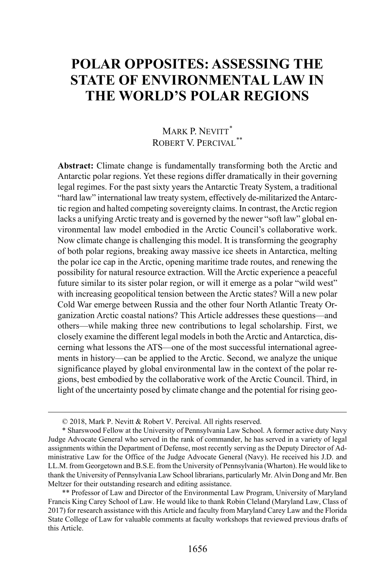# **POLAR OPPOSITES: ASSESSING THE STATE OF ENVIRONMENTAL LAW IN THE WORLD'S POLAR REGIONS**

# MARK P. NEVITT<sup>[\\*](#page-2-0)</sup> ROBERT V. PERCIVAL<sup>[\\*\\*](#page-2-1)</sup>

**Abstract:** Climate change is fundamentally transforming both the Arctic and Antarctic polar regions. Yet these regions differ dramatically in their governing legal regimes. For the past sixty years the Antarctic Treaty System, a traditional "hard law" international law treaty system, effectively de-militarized the Antarctic region and halted competing sovereignty claims. In contrast, the Arctic region lacks a unifying Arctic treaty and is governed by the newer "soft law" global environmental law model embodied in the Arctic Council's collaborative work. Now climate change is challenging this model. It is transforming the geography of both polar regions, breaking away massive ice sheets in Antarctica, melting the polar ice cap in the Arctic, opening maritime trade routes, and renewing the possibility for natural resource extraction. Will the Arctic experience a peaceful future similar to its sister polar region, or will it emerge as a polar "wild west" with increasing geopolitical tension between the Arctic states? Will a new polar Cold War emerge between Russia and the other four North Atlantic Treaty Organization Arctic coastal nations? This Article addresses these questions—and others—while making three new contributions to legal scholarship. First, we closely examine the different legal models in both the Arctic and Antarctica, discerning what lessons the ATS—one of the most successful international agreements in history—can be applied to the Arctic. Second, we analyze the unique significance played by global environmental law in the context of the polar regions, best embodied by the collaborative work of the Arctic Council. Third, in light of the uncertainty posed by climate change and the potential for rising geo-

 <sup>© 2018,</sup> Mark P. Nevitt & Robert V. Percival. All rights reserved.

<span id="page-2-0"></span><sup>\*</sup> Sharswood Fellow at the University of Pennsylvania Law School. A former active duty Navy Judge Advocate General who served in the rank of commander, he has served in a variety of legal assignments within the Department of Defense, most recently serving as the Deputy Director of Administrative Law for the Office of the Judge Advocate General (Navy). He received his J.D. and LL.M. from Georgetown and B.S.E. from the University of Pennsylvania (Wharton). He would like to thank the University of Pennsylvania Law School librarians, particularly Mr. Alvin Dong and Mr. Ben Meltzer for their outstanding research and editing assistance.

<span id="page-2-1"></span><sup>\*\*</sup> Professor of Law and Director of the Environmental Law Program, University of Maryland Francis King Carey School of Law. He would like to thank Robin Cleland (Maryland Law, Class of 2017) for research assistance with this Article and faculty from Maryland Carey Law and the Florida State College of Law for valuable comments at faculty workshops that reviewed previous drafts of this Article.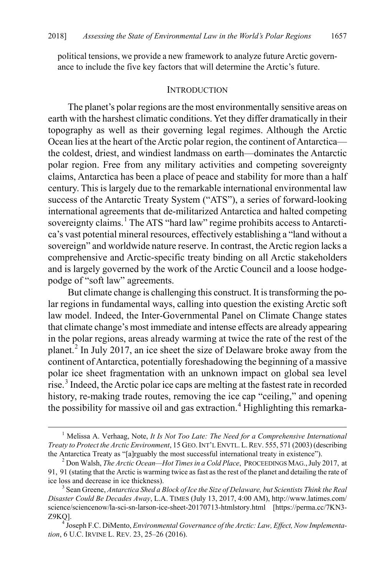political tensions, we provide a new framework to analyze future Arctic governance to include the five key factors that will determine the Arctic's future.

#### **INTRODUCTION**

The planet's polar regions are the most environmentally sensitive areas on earth with the harshest climatic conditions. Yet they differ dramatically in their topography as well as their governing legal regimes. Although the Arctic Ocean lies at the heart of the Arctic polar region, the continent of Antarctica the coldest, driest, and windiest landmass on earth—dominates the Antarctic polar region. Free from any military activities and competing sovereignty claims, Antarctica has been a place of peace and stability for more than a half century. This is largely due to the remarkable international environmental law success of the Antarctic Treaty System ("ATS"), a series of forward-looking international agreements that de-militarized Antarctica and halted competing sovereignty claims.<sup>[1](#page-3-0)</sup> The ATS "hard law" regime prohibits access to Antarctica's vast potential mineral resources, effectively establishing a "land without a sovereign" and worldwide nature reserve. In contrast, the Arctic region lacks a comprehensive and Arctic-specific treaty binding on all Arctic stakeholders and is largely governed by the work of the Arctic Council and a loose hodgepodge of "soft law" agreements.

<span id="page-3-6"></span><span id="page-3-5"></span>But climate change is challenging this construct. It is transforming the polar regions in fundamental ways, calling into question the existing Arctic soft law model. Indeed, the Inter-Governmental Panel on Climate Change states that climate change's most immediate and intense effects are already appearing in the polar regions, areas already warming at twice the rate of the rest of the planet.[2](#page-3-1) In July 2017, an ice sheet the size of Delaware broke away from the continent of Antarctica, potentially foreshadowing the beginning of a massive polar ice sheet fragmentation with an unknown impact on global sea level rise.<sup>[3](#page-3-2)</sup> Indeed, the Arctic polar ice caps are melting at the fastest rate in recorded history, re-making trade routes, removing the ice cap "ceiling," and opening the possibility for massive oil and gas extraction.<sup>[4](#page-3-3)</sup> Highlighting this remarka-

<span id="page-3-4"></span><span id="page-3-0"></span> <sup>1</sup> Melissa A. Verhaag, Note, *It Is Not Too Late: The Need for a Comprehensive International Treaty to Protect the Arctic Environment*, 15 GEO.INT'L ENVTL. L.REV. 555, 571 (2003) (describing the Antarctica Treaty as "[a]rguably the most successful international treaty in existence"). <sup>2</sup> Don Walsh, *The Arctic Ocean—Hot Times in a Cold Place*, PROCEEDINGS MAG.,July 2017, at

<span id="page-3-1"></span><sup>91, 91 (</sup>stating that the Arctic is warming twice as fast as the rest of the planet and detailing the rate of ice loss and decrease in ice thickness).

<span id="page-3-2"></span><sup>&</sup>lt;sup>3</sup> Sean Greene, *Antarctica Shed a Block of Ice the Size of Delaware, but Scientists Think the Real Disaster Could Be Decades Away*, L.A. TIMES (July 13, 2017, 4:00 AM), http://www.latimes.com/ science/sciencenow/la-sci-sn-larson-ice-sheet-20170713-htmlstory.html [https://perma.cc/7KN3- Z9KQ]. <sup>4</sup> Joseph F.C. DiMento, *Environmental Governance of the Arctic: Law, Effect, Now Implementa-*

<span id="page-3-3"></span>*tion*, 6 U.C. IRVINE L. REV. 23, 25–26 (2016).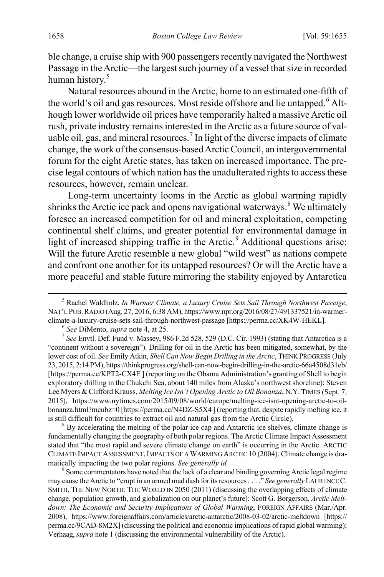ble change, a cruise ship with 900 passengers recently navigated the Northwest Passage in the Arctic—the largest such journey of a vessel that size in recorded human history.<sup>[5](#page-4-0)</sup>

<span id="page-4-5"></span>Natural resources abound in the Arctic, home to an estimated one-fifth of the world's oil and gas resources. Most reside offshore and lie untapped.<sup>[6](#page-4-1)</sup> Although lower worldwide oil prices have temporarily halted a massive Arctic oil rush, private industry remains interested in the Arctic as a future source of val-uable oil, gas, and mineral resources.<sup>[7](#page-4-2)</sup> In light of the diverse impacts of climate change, the work of the consensus-based Arctic Council, an intergovernmental forum for the eight Arctic states, has taken on increased importance. The precise legal contours of which nation has the unadulterated rights to access these resources, however, remain unclear.

<span id="page-4-6"></span>Long-term uncertainty looms in the Arctic as global warming rapidly shrinks the Arctic ice pack and opens navigational waterways.<sup>[8](#page-4-3)</sup> We ultimately foresee an increased competition for oil and mineral exploitation, competing continental shelf claims, and greater potential for environmental damage in light of increased shipping traffic in the Arctic. $9$  Additional questions arise: Will the future Arctic resemble a new global "wild west" as nations compete and confront one another for its untapped resources? Or will the Arctic have a more peaceful and stable future mirroring the stability enjoyed by Antarctica

<span id="page-4-3"></span>fundamentally changing the geography of both polar regions. The Arctic Climate Impact Assessment stated that "the most rapid and severe climate change on earth" is occurring in the Arctic. ARCTIC CLIMATE IMPACT ASSESSMENT, IMPACTS OF A WARMING ARCTIC 10 (2004). Climate change is dramatically impacting the two polar regions. *See generally id.* 9 Some commentators have noted that the lack of a clear and binding governing Arctic legal regime

<span id="page-4-4"></span>may cause the Arctic to "erupt in an armed mad dash for its resources . . . ." *See generally* LAURENCE C. SMITH, THE NEW NORTH: THE WORLD IN 2050 (2011) (discussing the overlapping effects of climate change, population growth, and globalization on our planet's future); Scott G. Borgerson, *Arctic Meltdown: The Economic and Security Implications of Global Warming*, FOREIGN AFFAIRS (Mar./Apr. 2008), https://www.foreignaffairs.com/articles/arctic-antarctic/2008-03-02/arctic-meltdown [https:// perma.cc/9CAD-8M2X] (discussing the political and economic implications of rapid global warming); Verhaag, *supra* not[e 1](#page-3-5) (discussing the environmental vulnerability of the Arctic).

<span id="page-4-0"></span> <sup>5</sup> Rachel Waldholz, *In Warmer Climate, a Luxury Cruise Sets Sail Through Northwest Passage*, NAT'L PUB.RADIO (Aug. 27, 2016, 6:38 AM), https://www.npr.org/2016/08/27/491337521/in-warmerclimate-a-luxury-cruise-sets-sail-through-northwest-passage [https://perma.cc/XK4W-HEKL]. <sup>6</sup> See DiMento, *supra* note 4, at 25.

<span id="page-4-2"></span><span id="page-4-1"></span> $<sup>7</sup>$  *See* Envtl. Def. Fund v. Massey, 986 F.2d 528, 529 (D.C. Cir. 1993) (stating that Antarctica is a</sup> "continent without a sovereign"). Drilling for oil in the Arctic has been mitigated, somewhat, by the lower cost of oil. *See* Emily Atkin, *Shell Can Now Begin Drilling in the Arctic*, THINK PROGRESS (July 23, 2015, 2:14 PM), https://thinkprogress.org/shell-can-now-begin-drilling-in-the-arctic-66a4508d31eb/ [https://perma.cc/KPT2-CX4E ] (reporting on the Obama Administration's granting of Shell to begin exploratory drilling in the Chukchi Sea, about 140 miles from Alaska's northwest shoreline); Steven Lee Myers & Clifford Krauss, *Melting Ice Isn't Opening Arctic to Oil Bonanza*, N.Y.TIMES (Sept. 7, 2015), https://www.nytimes.com/2015/09/08/world/europe/melting-ice-isnt-opening-arctic-to-oilbonanza.html?mcubz=0 [https://perma.cc/N4DZ-S5X4 ] (reporting that, despite rapidly melting ice, it is still difficult for countries to extract oil and natural gas from the Arctic Circle). <sup>8</sup> By accelerating the melting of the polar ice cap and Antarctic ice shelves, climate change is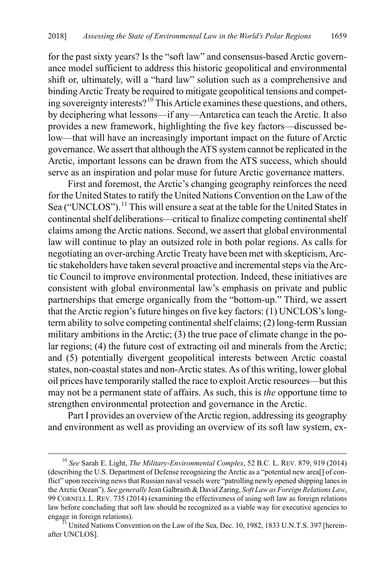for the past sixty years? Is the "soft law" and consensus-based Arctic governance model sufficient to address this historic geopolitical and environmental shift or, ultimately, will a "hard law" solution such as a comprehensive and binding Arctic Treaty be required to mitigate geopolitical tensions and competing sovereignty interests?[10](#page-5-0) This Article examines these questions, and others, by deciphering what lessons—if any—Antarctica can teach the Arctic. It also provides a new framework, highlighting the five key factors—discussed below—that will have an increasingly important impact on the future of Arctic governance. We assert that although the ATS system cannot be replicated in the Arctic, important lessons can be drawn from the ATS success, which should serve as an inspiration and polar muse for future Arctic governance matters.

<span id="page-5-2"></span>First and foremost, the Arctic's changing geography reinforces the need for the United States to ratify the United Nations Convention on the Law of the Sea ("UNCLOS").<sup>[11](#page-5-1)</sup> This will ensure a seat at the table for the United States in continental shelf deliberations—critical to finalize competing continental shelf claims among the Arctic nations. Second, we assert that global environmental law will continue to play an outsized role in both polar regions. As calls for negotiating an over-arching Arctic Treaty have been met with skepticism, Arctic stakeholders have taken several proactive and incremental steps via the Arctic Council to improve environmental protection. Indeed, these initiatives are consistent with global environmental law's emphasis on private and public partnerships that emerge organically from the "bottom-up." Third, we assert that the Arctic region's future hinges on five key factors: (1) UNCLOS's longterm ability to solve competing continental shelf claims; (2) long-term Russian military ambitions in the Arctic; (3) the true pace of climate change in the polar regions; (4) the future cost of extracting oil and minerals from the Arctic; and (5) potentially divergent geopolitical interests between Arctic coastal states, non-coastal states and non-Arctic states. As of this writing, lower global oil prices have temporarily stalled the race to exploit Arctic resources—but this may not be a permanent state of affairs. As such, this is *the* opportune time to strengthen environmental protection and governance in the Arctic.

Part I provides an overview of the Arctic region, addressing its geography and environment as well as providing an overview of its soft law system, ex-

<span id="page-5-0"></span> <sup>10</sup> *See* Sarah E. Light, *The Military-Environmental Complex*, 52 B.C. L. REV. 879, 919 (2014) (describing the U.S. Department of Defense recognizing the Arctic as a "potential new area[] of conflict" upon receiving news that Russian naval vessels were "patrolling newly opened shipping lanes in the Arctic Ocean"). *See generally* Jean Galbraith & David Zaring, *Soft Law as Foreign Relations Law*, 99 CORNELL L. REV. 735 (2014) (examining the effectiveness of using soft law as foreign relations law before concluding that soft law should be recognized as a viable way for executive agencies to engage in foreign relations).<br><sup>11</sup> United Nations Convention on the Law of the Sea, Dec. 10, 1982, 1833 U.N.T.S. 397 [herein-

<span id="page-5-1"></span>after UNCLOS].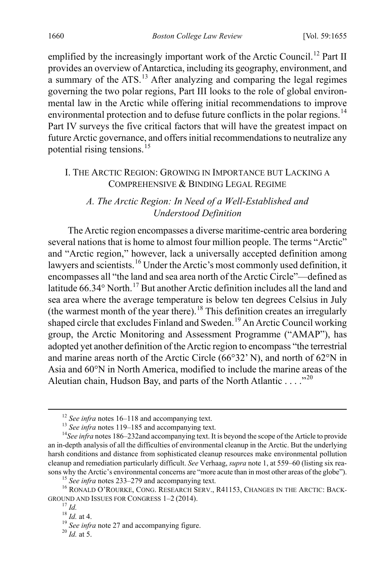emplified by the increasingly important work of the Arctic Council.<sup>[12](#page-6-1)</sup> Part II provides an overview of Antarctica, including its geography, environment, and a summary of the ATS.[13](#page-6-2) After analyzing and comparing the legal regimes governing the two polar regions, Part III looks to the role of global environmental law in the Arctic while offering initial recommendations to improve environmental protection and to defuse future conflicts in the polar regions.<sup>[14](#page-6-3)</sup> Part IV surveys the five critical factors that will have the greatest impact on future Arctic governance, and offers initial recommendations to neutralize any potential rising tensions.[15](#page-6-4)

### I. THE ARCTIC REGION: GROWING IN IMPORTANCE BUT LACKING A COMPREHENSIVE & BINDING LEGAL REGIME

## <span id="page-6-0"></span>*A. The Arctic Region: In Need of a Well-Established and Understood Definition*

The Arctic region encompasses a diverse maritime-centric area bordering several nations that is home to almost four million people. The terms "Arctic" and "Arctic region," however, lack a universally accepted definition among lawyers and scientists.<sup>[16](#page-6-5)</sup> Under the Arctic's most commonly used definition, it encompasses all "the land and sea area north of the Arctic Circle"—defined as latitude  $66.34^{\circ}$  North.<sup>[17](#page-6-6)</sup> But another Arctic definition includes all the land and sea area where the average temperature is below ten degrees Celsius in July (the warmest month of the year there). [18](#page-6-7) This definition creates an irregularly shaped circle that excludes Finland and Sweden.<sup>[19](#page-6-8)</sup> An Arctic Council working group, the Arctic Monitoring and Assessment Programme ("AMAP"), has adopted yet another definition of the Arctic region to encompass "the terrestrial and marine areas north of the Arctic Circle (66°32' N), and north of 62°N in Asia and 60°N in North America, modified to include the marine areas of the Aleutian chain, Hudson Bay, and parts of the North Atlantic . . . . "<sup>[20](#page-6-9)</sup>

<span id="page-6-3"></span><span id="page-6-2"></span><span id="page-6-1"></span><sup>&</sup>lt;sup>12</sup> *See infra* note[s 16–](#page-6-0)[118](#page-20-0) and accompanying text.<br><sup>13</sup> *See infra* note[s 119](#page-21-0)[–185](#page-28-0) and accompanying text.<br><sup>14</sup>*See infra* note[s 186](#page-29-0)[–232a](#page-36-0)nd accompanying text. It is beyond the scope of the Article to provide an in-depth analysis of all the difficulties of environmental cleanup in the Arctic. But the underlying harsh conditions and distance from sophisticated cleanup resources make environmental pollution cleanup and remediation particularly difficult. *See* Verhaag, *supra* not[e 1,](#page-3-5) at 559–60 (listing six rea-

<span id="page-6-6"></span><span id="page-6-5"></span><span id="page-6-4"></span>sons why the Arctic's environmental concerns are "more acute than in most other areas of the globe").<br>
<sup>15</sup> See infra note[s 233](#page-36-1)[–279](#page-45-0) and accompanying text.<br>
<sup>16</sup> RONALD O'ROURKE, CONG. RESEARCH SERV., R41153, CHANGES IN TH

<span id="page-6-7"></span><sup>&</sup>lt;sup>17</sup> *Id.* <sup>18</sup> *Id.* at 4. <sup>19</sup> *See infra* note [27](#page-7-0) and accompanying figure. <sup>20</sup> *Id.* at 5.

<span id="page-6-9"></span><span id="page-6-8"></span>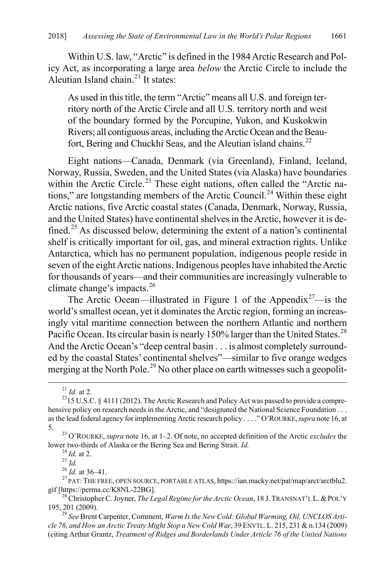Within U.S. law, "Arctic" is defined in the 1984 Arctic Research and Policy Act, as incorporating a large area *below* the Arctic Circle to include the Aleutian Island chain.<sup>[21](#page-7-1)</sup> It states:

As used in this title, the term "Arctic" means all U.S. and foreign territory north of the Arctic Circle and all U.S. territory north and west of the boundary formed by the Porcupine, Yukon, and Kuskokwin Rivers; all contiguous areas, including the Arctic Ocean and the Beau-fort, Bering and Chuckhi Seas, and the Aleutian island chains.<sup>[22](#page-7-2)</sup>

Eight nations—Canada, Denmark (via Greenland), Finland, Iceland, Norway, Russia, Sweden, and the United States (via Alaska) have boundaries within the Arctic Circle.<sup>[23](#page-7-3)</sup> These eight nations, often called the "Arctic na-tions," are longstanding members of the Arctic Council.<sup>[24](#page-7-4)</sup> Within these eight Arctic nations, five Arctic coastal states (Canada, Denmark, Norway, Russia, and the United States) have continental shelves in the Arctic, however it is de-fined.<sup>[25](#page-7-5)</sup> As discussed below, determining the extent of a nation's continental shelf is critically important for oil, gas, and mineral extraction rights. Unlike Antarctica, which has no permanent population, indigenous people reside in seven of the eight Arctic nations. Indigenous peoples have inhabited the Arctic for thousands of years—and their communities are increasingly vulnerable to climate change's impacts.[26](#page-7-6)

<span id="page-7-0"></span>The Arctic Ocean—illustrated in Figure 1 of the Appendix<sup>[27](#page-7-7)</sup>—is the world's smallest ocean, yet it dominates the Arctic region, forming an increasingly vital maritime connection between the northern Atlantic and northern Pacific Ocean. Its circular basin is nearly 150% larger than the United States.<sup>[28](#page-7-8)</sup> And the Arctic Ocean's "deep central basin . . . is almost completely surrounded by the coastal States' continental shelves"—similar to five orange wedges merging at the North Pole.<sup>[29](#page-7-9)</sup> No other place on earth witnesses such a geopolit-

<span id="page-7-11"></span><span id="page-7-10"></span>

<span id="page-7-2"></span><span id="page-7-1"></span><sup>&</sup>lt;sup>21</sup> *Id.* at 2.<br><sup>22</sup>15 U.S.C. § 4111 (2012). The Arctic Research and Policy Act was passed to provide a comprehensive policy on research needs in the Arctic, and "designated the National Science Foundation . . . as the lead federal agency for implementing Arctic research policy . . . ." O'ROURKE,*supra* not[e 16,](#page-6-0) at

<span id="page-7-3"></span><sup>5. 23</sup> O'ROURKE, *supra* not[e 16,](#page-6-0) at 1–2. Of note, no accepted definition of the Arctic *excludes* the

<span id="page-7-6"></span><span id="page-7-5"></span><span id="page-7-4"></span> $\frac{24}{1d}$ . at 2.<br>
<sup>25</sup> *Id.*<br>
<sup>26</sup> *Id.* at 36–41.<br>
<sup>27</sup> PAT: THE FREE, OPEN SOURCE, PORTABLE ATLAS, https://ian.macky.net/pat/map/arct/arctblu2.<br>
gif [https://perma.cc/K8NL-22BG].

<span id="page-7-8"></span><span id="page-7-7"></span><sup>&</sup>lt;sup>28</sup> Christopher C. Joyner, *The Legal Regime for the Arctic Ocean*, 18 J. TRANSNAT'L L. & POL'Y 195, 201 (2009).

<span id="page-7-9"></span><sup>29</sup> *See* Brent Carpenter, Comment, *Warm Is the New Cold: Global Warming, Oil, UNCLOS Article 76, and How an Arctic Treaty Might Stop a New Cold War*, 39 ENVTL.L. 215, 231 & n.134 (2009) (citing Arthur Grantz, *Treatment of Ridges and Borderlands Under Article 76 of the United Nations*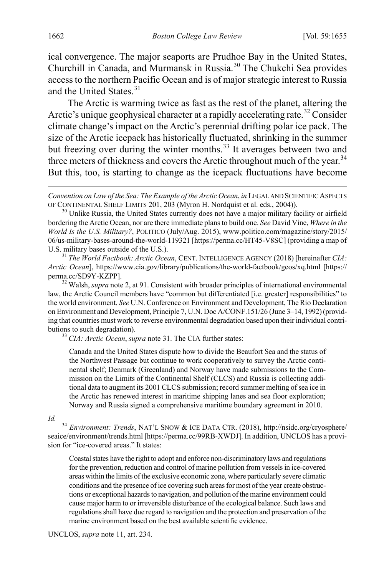ical convergence. The major seaports are Prudhoe Bay in the United States, Churchill in Canada, and Murmansk in Russia.[30](#page-8-1) The Chukchi Sea provides access to the northern Pacific Ocean and is of major strategic interest to Russia and the United States. [31](#page-8-2)

<span id="page-8-6"></span><span id="page-8-0"></span>The Arctic is warming twice as fast as the rest of the planet, altering the Arctic's unique geophysical character at a rapidly accelerating rate.<sup>[32](#page-8-3)</sup> Consider climate change's impact on the Arctic's perennial drifting polar ice pack. The size of the Arctic icepack has historically fluctuated, shrinking in the summer but freezing over during the winter months.<sup>[33](#page-8-4)</sup> It averages between two and three meters of thickness and covers the Arctic throughout much of the year.<sup>[34](#page-8-5)</sup> But this, too, is starting to change as the icepack fluctuations have become

<span id="page-8-1"></span><sup>30</sup> Unlike Russia, the United States currently does not have a major military facility or airfield bordering the Arctic Ocean, nor are there immediate plans to build one. *See* David Vine, *Where in the World Is the U.S. Military?*, POLITICO (July/Aug. 2015), www.politico.com/magazine/story/2015/ 06/us-military-bases-around-the-world-119321 [https://perma.cc/HT45-V8SC] (providing a map of U.S. military bases outside of the U.S.).

<span id="page-8-2"></span><sup>31</sup> *The World Factbook: Arctic Ocean*, CENT. INTELLIGENCE AGENCY (2018) [hereinafter *CIA: Arctic Ocean*], https://www.cia.gov/library/publications/the-world-factbook/geos/xq.html [https:// perma.cc/SD9Y-KZPP]. 32 Walsh, *supra* not[e 2,](#page-3-6) at 91. Consistent with broader principles of international environmental

<span id="page-8-3"></span>law, the Arctic Council members have "common but differentiated [i.e. greater] responsibilities" to the world environment. *See* U.N. Conference on Environment and Development, The Rio Declaration on Environment and Development, Principle 7, U.N. Doc A/CONF.151/26 (June 3–14, 1992) (providing that countries must work to reverse environmental degradation based upon their individual contributions to such degradation). <sup>33</sup> *CIA: Arctic Ocean*, *supra* note [31.](#page-8-0) The CIA further states:

<span id="page-8-4"></span>

Canada and the United States dispute how to divide the Beaufort Sea and the status of the Northwest Passage but continue to work cooperatively to survey the Arctic continental shelf; Denmark (Greenland) and Norway have made submissions to the Commission on the Limits of the Continental Shelf (CLCS) and Russia is collecting additional data to augment its 2001 CLCS submission; record summer melting of sea ice in the Arctic has renewed interest in maritime shipping lanes and sea floor exploration; Norway and Russia signed a comprehensive maritime boundary agreement in 2010.

<span id="page-8-5"></span>*Id.* <sup>34</sup> *Environment: Trends*, NAT'L SNOW & ICE DATA CTR. (2018), http://nsidc.org/cryosphere/ seaice/environment/trends.html [https://perma.cc/99RB-XWDJ]. In addition, UNCLOS has a provision for "ice-covered areas." It states:

Coastal states have the right to adopt and enforce non-discriminatory laws and regulations for the prevention, reduction and control of marine pollution from vessels in ice-covered areas within the limits of the exclusive economic zone, where particularly severe climatic conditions and the presence of ice covering such areas for most of the year create obstructions or exceptional hazards to navigation, and pollution of the marine environment could cause major harm to or irreversible disturbance of the ecological balance. Such laws and regulations shall have due regard to navigation and the protection and preservation of the marine environment based on the best available scientific evidence.

 $\overline{a}$ 

*Convention on Law of the Sea: The Example of the Arctic Ocean, in LEGAL AND SCIENTIFIC ASPECTS* OF CONTINENTAL SHELF LIMITS 201, 203 (Myron H. Nordquist et al. eds., 2004)).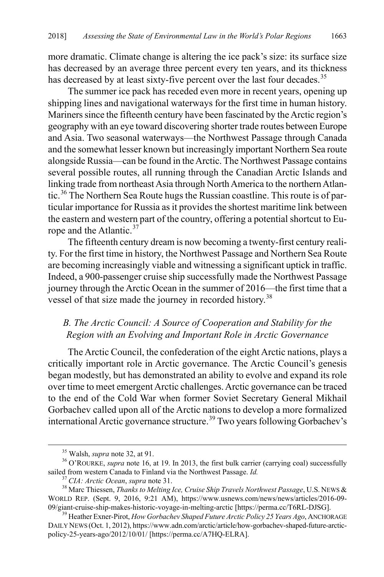more dramatic. Climate change is altering the ice pack's size: its surface size has decreased by an average three percent every ten years, and its thickness has decreased by at least sixty-five percent over the last four decades.<sup>35</sup>

The summer ice pack has receded even more in recent years, opening up shipping lines and navigational waterways for the first time in human history. Mariners since the fifteenth century have been fascinated by the Arctic region's geography with an eye toward discovering shorter trade routes between Europe and Asia. Two seasonal waterways—the Northwest Passage through Canada and the somewhat lesser known but increasingly important Northern Sea route alongside Russia—can be found in the Arctic. The Northwest Passage contains several possible routes, all running through the Canadian Arctic Islands and linking trade from northeast Asia through North America to the northern Atlantic.[36](#page-9-1) The Northern Sea Route hugs the Russian coastline. This route is of particular importance for Russia as it provides the shortest maritime link between the eastern and western part of the country, offering a potential shortcut to Eu-rope and the Atlantic.<sup>[37](#page-9-2)</sup>

The fifteenth century dream is now becoming a twenty-first century reality. For the first time in history, the Northwest Passage and Northern Sea Route are becoming increasingly viable and witnessing a significant uptick in traffic. Indeed, a 900-passenger cruise ship successfully made the Northwest Passage journey through the Arctic Ocean in the summer of 2016—the first time that a vessel of that size made the journey in recorded history.<sup>[38](#page-9-3)</sup>

# *B. The Arctic Council: A Source of Cooperation and Stability for the Region with an Evolving and Important Role in Arctic Governance*

The Arctic Council, the confederation of the eight Arctic nations, plays a critically important role in Arctic governance. The Arctic Council's genesis began modestly, but has demonstrated an ability to evolve and expand its role over time to meet emergent Arctic challenges. Arctic governance can be traced to the end of the Cold War when former Soviet Secretary General Mikhail Gorbachev called upon all of the Arctic nations to develop a more formalized international Arctic governance structure.<sup>[39](#page-9-4)</sup> Two years following Gorbachev's

<span id="page-9-1"></span><span id="page-9-0"></span><sup>&</sup>lt;sup>35</sup> Walsh, *supra* not[e 32,](#page-8-6) at 91.<br><sup>36</sup> O'ROURKE, *supra* not[e 16,](#page-6-0) at 19. In 2013, the first bulk carrier (carrying coal) successfully sailed from western Canada to Finland via the Northwest Passage. *Id.*<br><sup>37</sup> CIA: Arctic Ocean, supra note 31.<br><sup>38</sup> Marc Thiessen, *Thanks to Melting Ice, Cruise Ship Travels Northwest Passage*, U.S. NEWS &

<span id="page-9-3"></span><span id="page-9-2"></span>WORLD REP. (Sept. 9, 2016, 9:21 AM), https://www.usnews.com/news/news/articles/2016-09-09/giant-cruise-ship-makes-historic-voyage-in-melting-arctic [https://perma.cc/T6RL-DJSG].

<span id="page-9-4"></span><sup>&</sup>lt;sup>39</sup> Heather Exner-Pirot, *How Gorbachev Shaped Future Arctic Policy 25 Years Ago*, ANCHORAGE DAILY NEWS (Oct. 1, 2012), https://www.adn.com/arctic/article/how-gorbachev-shaped-future-arcticpolicy-25-years-ago/2012/10/01/ [https://perma.cc/A7HQ-ELRA].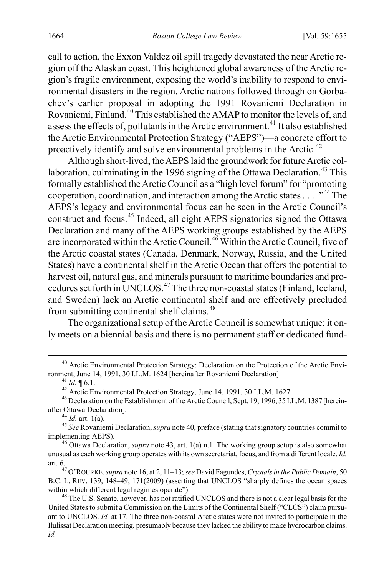call to action, the Exxon Valdez oil spill tragedy devastated the near Arctic region off the Alaskan coast. This heightened global awareness of the Arctic region's fragile environment, exposing the world's inability to respond to environmental disasters in the region. Arctic nations followed through on Gorbachev's earlier proposal in adopting the 1991 Rovaniemi Declaration in Rovaniemi, Finland.[40](#page-10-2) This established the AMAP to monitor the levels of, and assess the effects of, pollutants in the Arctic environment.<sup>[41](#page-10-3)</sup> It also established the Arctic Environmental Protection Strategy ("AEPS")—a concrete effort to proactively identify and solve environmental problems in the Arctic.<sup>[42](#page-10-4)</sup>

<span id="page-10-1"></span><span id="page-10-0"></span>Although short-lived, the AEPS laid the groundwork for future Arctic col-laboration, culminating in the 1996 signing of the Ottawa Declaration.<sup>[43](#page-10-5)</sup> This formally established the Arctic Council as a "high level forum" for "promoting cooperation, coordination, and interaction among the Arctic states  $\dots$  ..."<sup>[44](#page-10-6)</sup> The AEPS's legacy and environmental focus can be seen in the Arctic Council's construct and focus.[45](#page-10-7) Indeed, all eight AEPS signatories signed the Ottawa Declaration and many of the AEPS working groups established by the AEPS are incorporated within the Arctic Council.<sup>[46](#page-10-8)</sup> Within the Arctic Council, five of the Arctic coastal states (Canada, Denmark, Norway, Russia, and the United States) have a continental shelf in the Arctic Ocean that offers the potential to harvest oil, natural gas, and minerals pursuant to maritime boundaries and pro-cedures set forth in UNCLOS.<sup>[47](#page-10-9)</sup> The three non-coastal states (Finland, Iceland, and Sweden) lack an Arctic continental shelf and are effectively precluded from submitting continental shelf claims.<sup>[48](#page-10-10)</sup>

The organizational setup of the Arctic Council is somewhat unique: it only meets on a biennial basis and there is no permanent staff or dedicated fund-

<span id="page-10-7"></span><span id="page-10-6"></span><sup>44</sup> *Id.* art. 1(a).  $\frac{45 \text{ } \text{See} \text{ Rovanism}}{45 \text{ } \text{See} \text{ Rovanism}}$  Declaration, *supra* not[e 40,](#page-10-0) preface (stating that signatory countries commit to implementing AEPS).

<span id="page-10-8"></span><sup>46</sup> Ottawa Declaration, *supra* note [43,](#page-10-1) art. 1(a) n.1. The working group setup is also somewhat unusual as each working group operates with its own secretariat, focus, and from a different locale. *Id.*

<span id="page-10-9"></span>art. 6.47 O'ROURKE,*supra* not[e 16,](#page-6-0) at 2, 11–13; *see* David Fagundes, *Crystals in the Public Domain*, 50 B.C. L. REV. 139, 148–49, 171(2009) (asserting that UNCLOS "sharply defines the ocean spaces

<span id="page-10-2"></span><sup>&</sup>lt;sup>40</sup> Arctic Environmental Protection Strategy: Declaration on the Protection of the Arctic Environment, June 14, 1991, 30 I.L.M. 1624 [hereinafter Rovaniemi Declaration].

<span id="page-10-5"></span><span id="page-10-4"></span><span id="page-10-3"></span><sup>&</sup>lt;sup>41</sup> *Id.*  $\parallel$  6.1.<br><sup>42</sup> Arctic Environmental Protection Strategy, June 14, 1991, 30 I.L.M. 1627.<br><sup>43</sup> Declaration on the Establishment of the Arctic Council, Sept. 19, 1996, 35 I.L.M. 1387 [hereinafter Ottawa Declaratio

<span id="page-10-10"></span><sup>&</sup>lt;sup>48</sup> The U.S. Senate, however, has not ratified UNCLOS and there is not a clear legal basis for the United States to submit a Commission on the Limits of the Continental Shelf ("CLCS") claim pursuant to UNCLOS. *Id.* at 17. The three non-coastal Arctic states were not invited to participate in the Ilulissat Declaration meeting, presumably because they lacked the ability to make hydrocarbon claims. *Id.*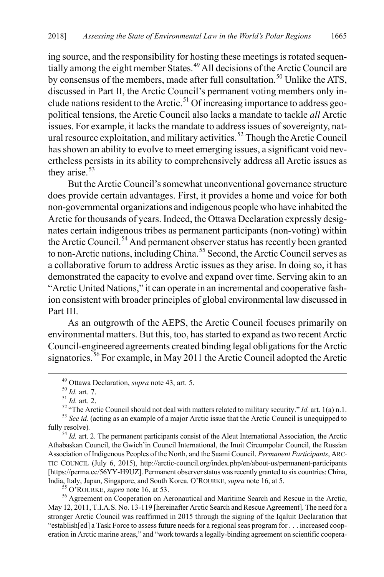ing source, and the responsibility for hosting these meetings is rotated sequen-tially among the eight member States.<sup>[49](#page-11-0)</sup> All decisions of the Arctic Council are by consensus of the members, made after full consultation.<sup>[50](#page-11-1)</sup> Unlike the ATS, discussed in Part II, the Arctic Council's permanent voting members only in-clude nations resident to the Arctic.<sup>[51](#page-11-2)</sup> Of increasing importance to address geopolitical tensions, the Arctic Council also lacks a mandate to tackle *all* Arctic issues. For example, it lacks the mandate to address issues of sovereignty, nat-ural resource exploitation, and military activities.<sup>[52](#page-11-3)</sup> Though the Arctic Council has shown an ability to evolve to meet emerging issues, a significant void nevertheless persists in its ability to comprehensively address all Arctic issues as they arise.<sup>[53](#page-11-4)</sup>

But the Arctic Council's somewhat unconventional governance structure does provide certain advantages. First, it provides a home and voice for both non-governmental organizations and indigenous people who have inhabited the Arctic for thousands of years. Indeed, the Ottawa Declaration expressly designates certain indigenous tribes as permanent participants (non-voting) within the Arctic Council.<sup>[54](#page-11-5)</sup> And permanent observer status has recently been granted to non-Arctic nations, including China.<sup>[55](#page-11-6)</sup> Second, the Arctic Council serves as a collaborative forum to address Arctic issues as they arise. In doing so, it has demonstrated the capacity to evolve and expand over time. Serving akin to an "Arctic United Nations," it can operate in an incremental and cooperative fashion consistent with broader principles of global environmental law discussed in Part III

As an outgrowth of the AEPS, the Arctic Council focuses primarily on environmental matters. But this, too, has started to expand as two recent Arctic Council-engineered agreements created binding legal obligations for the Arctic signatories.<sup>[56](#page-11-7)</sup> For example, in May 2011 the Arctic Council adopted the Arctic

<span id="page-11-7"></span><span id="page-11-6"></span>May 12, 2011, T.I.A.S. No. 13-119 [hereinafter Arctic Search and Rescue Agreement]. The need for a stronger Arctic Council was reaffirmed in 2015 through the signing of the Iqaluit Declaration that "establish[ed] a Task Force to assess future needs for a regional seas program for . . . increased cooperation in Arctic marine areas," and "work towards a legally-binding agreement on scientific coopera-

<span id="page-11-8"></span>

<span id="page-11-2"></span><span id="page-11-1"></span><span id="page-11-0"></span><sup>&</sup>lt;sup>49</sup> Ottawa Declaration, *supra* not[e 43,](#page-10-1) art. 5.<br><sup>50</sup> *Id.* art. 7.<br><sup>51</sup> *Id.* art. 2.<br><sup>52</sup> "The Arctic Council should not deal with matters related to military security." *Id.* art. 1(a) n.1.<br><sup>52</sup> "The Arctic Council sh

<span id="page-11-5"></span><span id="page-11-4"></span><span id="page-11-3"></span>fully resolve).<br><sup>54</sup> *Id.* art. 2. The permanent participants consist of the Aleut International Association, the Arctic Athabaskan Council, the Gwich'in Council International, the Inuit Circumpolar Council, the Russian Association of Indigenous Peoples of the North, and the Saami Council. *Permanent Participants*, ARC-TIC COUNCIL (July 6, 2015), http://arctic-council.org/index.php/en/about-us/permanent-participants [https://perma.cc/56YY-H9UZ]. Permanent observer status was recently granted to six countries: China, India, Italy, Japan, Singapore, and South Korea. O'ROURKE, *supra* not[e 16,](#page-6-0) at 5.<br><sup>55</sup> O'ROURKE, *supra* not[e 16,](#page-6-0) at 53.<br><sup>56</sup> Agreement on Cooperation on Aeronautical and Maritime Search and Rescue in the Arctic,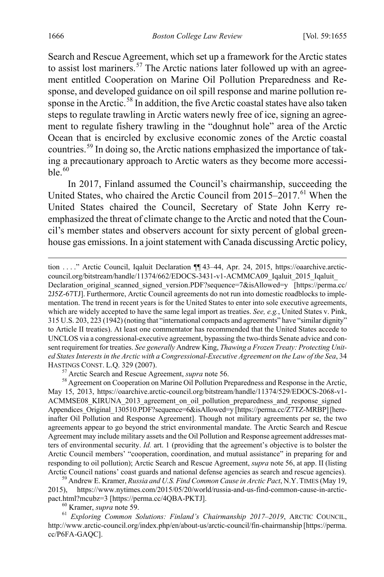<span id="page-12-6"></span>Search and Rescue Agreement, which set up a framework for the Arctic states to assist lost mariners.<sup>[57](#page-12-1)</sup> The Arctic nations later followed up with an agreement entitled Cooperation on Marine Oil Pollution Preparedness and Response, and developed guidance on oil spill response and marine pollution re-sponse in the Arctic.<sup>[58](#page-12-2)</sup> In addition, the five Arctic coastal states have also taken steps to regulate trawling in Arctic waters newly free of ice, signing an agreement to regulate fishery trawling in the "doughnut hole" area of the Arctic Ocean that is encircled by exclusive economic zones of the Arctic coastal countries.[59](#page-12-3) In doing so, the Arctic nations emphasized the importance of taking a precautionary approach to Arctic waters as they become more accessible. $60$ 

<span id="page-12-0"></span>In 2017, Finland assumed the Council's chairmanship, succeeding the United States, who chaired the Arctic Council from 2015–2017.<sup>[61](#page-12-5)</sup> When the United States chaired the Council, Secretary of State John Kerry reemphasized the threat of climate change to the Arctic and noted that the Council's member states and observers account for sixty percent of global greenhouse gas emissions. In a joint statement with Canada discussing Arctic policy,

tion . . . ." Arctic Council, Iqaluit Declaration ¶¶ 43–44, Apr. 24, 2015, https://oaarchive.arcticcouncil.org/bitstream/handle/11374/662/EDOCS-3431-v1-ACMMCA09\_Iqaluit\_2015\_Iqaluit\_ Declaration original scanned signed version.PDF?sequence=7&isAllowed=y [https://perma.cc/ 2J5Z-67TJ]. Furthermore, Arctic Council agreements do not run into domestic roadblocks to implementation. The trend in recent years is for the United States to enter into sole executive agreements, which are widely accepted to have the same legal import as treaties. *See, e.g.*, United States v. Pink, 315 U.S. 203, 223 (1942) (noting that "international compacts and agreements" have "similar dignity" to Article II treaties). At least one commentator has recommended that the United States accede to UNCLOS via a congressional-executive agreement, bypassing the two-thirds Senate advice and consent requirement for treaties. *See generally* Andrew King, *Thawing a Frozen Treaty: Protecting United States Interestsin the Arctic with a Congressional-Executive Agreement on the Law of the Sea*, 34

<span id="page-12-2"></span><span id="page-12-1"></span><sup>57</sup> Arctic Search and Rescue Agreement, *supra* note [56.](#page-11-8) <sup>58</sup> Agreement on Cooperation on Marine Oil Pollution Preparedness and Response in the Arctic, May 15, 2013, https://oaarchive.arctic-council.org/bitstream/handle/11374/529/EDOCS-2068-v1- ACMMSE08\_KIRUNA\_2013\_agreement\_on\_oil\_pollution\_preparedness\_and\_response\_signed Appendices\_Original\_130510.PDF?sequence=6&isAllowed=y [https://perma.cc/Z7TZ-MRBP] [hereinafter Oil Pollution and Response Agreement]. Though not military agreements per se, the two agreements appear to go beyond the strict environmental mandate. The Arctic Search and Rescue Agreement may include military assets and the Oil Pollution and Response agreement addresses matters of environmental security. *Id.* art. 1 (providing that the agreement's objective is to bolster the Arctic Council members' "cooperation, coordination, and mutual assistance" in preparing for and responding to oil pollution); Arctic Search and Rescue Agreement, *supra* note [56,](#page-11-8) at app. II (listing Arctic Council nations' coast guards and national defense agencies as search and rescue agencies). <sup>59</sup> Andrew E. Kramer, *Russia and U.S. Find Common Cause in Arctic Pact*, N.Y.TIMES (May 19,

<span id="page-12-3"></span>2015), https://www.nytimes.com/2015/05/20/world/russia-and-us-find-common-cause-in-arctic-

<span id="page-12-5"></span><span id="page-12-4"></span>pact.html?mcubz=3 [https://perma.cc/4QBA-PKTJ].<br><sup>60</sup> Kramer, *supra* note 59.<br><sup>61</sup> *Exploring Common Solutions: Finland's Chairmanship 2017–2019*, ARCTIC COUNCIL, http://www.arctic-council.org/index.php/en/about-us/arctic-council/fin-chairmanship [https://perma. cc/P6FA-GAQC].

 $\overline{a}$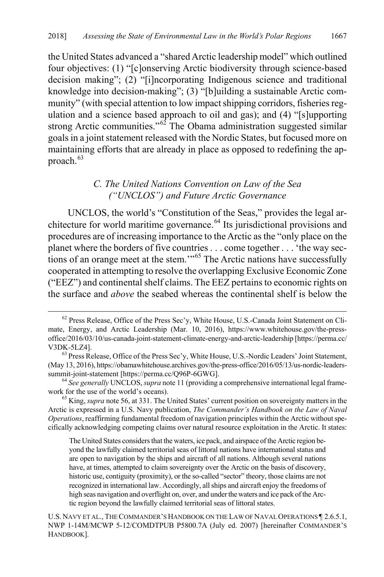the United States advanced a "shared Arctic leadership model" which outlined four objectives: (1) "[c]onserving Arctic biodiversity through science-based decision making"; (2) "[i]ncorporating Indigenous science and traditional knowledge into decision-making"; (3) "[b]uilding a sustainable Arctic community" (with special attention to low impact shipping corridors, fisheries regulation and a science based approach to oil and gas); and (4) "[s]upporting strong Arctic communities."<sup>[62](#page-13-0)</sup> The Obama administration suggested similar goals in a joint statement released with the Nordic States, but focused more on maintaining efforts that are already in place as opposed to redefining the ap-proach.<sup>[63](#page-13-1)</sup>

## <span id="page-13-4"></span>*C. The United Nations Convention on Law of the Sea ("UNCLOS") and Future Arctic Governance*

UNCLOS, the world's "Constitution of the Seas," provides the legal ar-chitecture for world maritime governance.<sup>[64](#page-13-2)</sup> Its jurisdictional provisions and procedures are of increasing importance to the Arctic as the "only place on the planet where the borders of five countries . . . come together . . . 'the way sections of an orange meet at the stem.'"[65](#page-13-3) The Arctic nations have successfully cooperated in attempting to resolve the overlapping Exclusive Economic Zone ("EEZ") and continental shelf claims. The EEZ pertains to economic rights on the surface and *above* the seabed whereas the continental shelf is below the

<span id="page-13-0"></span> <sup>62</sup> Press Release, Office of the Press Sec'y, White House, U.S.-Canada Joint Statement on Climate, Energy, and Arctic Leadership (Mar. 10, 2016), https://www.whitehouse.gov/the-pressoffice/2016/03/10/us-canada-joint-statement-climate-energy-and-arctic-leadership [https://perma.cc/ V3DK-5LZ4].<br><sup>63</sup> Press Release, Office of the Press Sec'y, White House, U.S.-Nordic Leaders' Joint Statement,

<span id="page-13-1"></span><sup>(</sup>May 13, 2016), https://obamawhitehouse.archives.gov/the-press-office/2016/05/13/us-nordic-leaderssummit-joint-statement [https://perma.cc/Q96P-6GWG]. 64 *See generally* UNCLOS, *supra* not[e 11](#page-5-2) (providing a comprehensive international legal frame-

<span id="page-13-2"></span>work for the use of the world's oceans). 65 King, *supra* not[e 56,](#page-11-8) at 331. The United States' current position on sovereignty matters in the

<span id="page-13-3"></span>Arctic is expressed in a U.S. Navy publication, *The Commander's Handbook on the Law of Naval Operations*, reaffirming fundamental freedom of navigation principles within the Arctic without specifically acknowledging competing claims over natural resource exploitation in the Arctic. It states:

The United States considers that the waters, ice pack, and airspace of the Arctic region beyond the lawfully claimed territorial seas of littoral nations have international status and are open to navigation by the ships and aircraft of all nations. Although several nations have, at times, attempted to claim sovereignty over the Arctic on the basis of discovery, historic use, contiguity (proximity), or the so-called "sector" theory, those claims are not recognized in international law. Accordingly, all ships and aircraft enjoy the freedoms of high seas navigation and overflight on, over, and under the waters and ice pack of the Arctic region beyond the lawfully claimed territorial seas of littoral states.

U.S. NAVY ET AL., THE COMMANDER'S HANDBOOK ON THE LAW OF NAVAL OPERATIONS ¶ 2.6.5.1, NWP 1-14M/MCWP 5-12/COMDTPUB P5800.7A (July ed. 2007) [hereinafter COMMANDER'S HANDBOOK].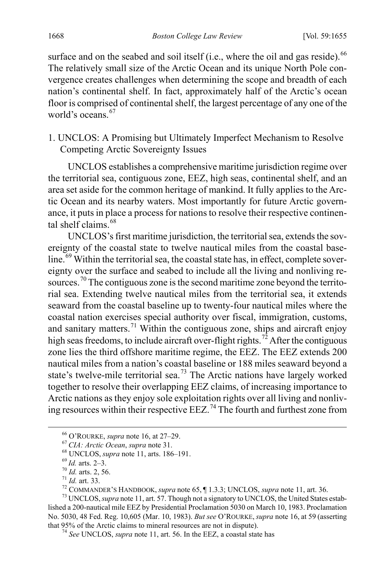surface and on the seabed and soil itself (i.e., where the oil and gas reside).<sup>[66](#page-14-0)</sup> The relatively small size of the Arctic Ocean and its unique North Pole convergence creates challenges when determining the scope and breadth of each nation's continental shelf. In fact, approximately half of the Arctic's ocean floor is comprised of continental shelf, the largest percentage of any one of the world's oceans.  $67$ 

1. UNCLOS: A Promising but Ultimately Imperfect Mechanism to Resolve Competing Arctic Sovereignty Issues

UNCLOS establishes a comprehensive maritime jurisdiction regime over the territorial sea, contiguous zone, EEZ, high seas, continental shelf, and an area set aside for the common heritage of mankind. It fully applies to the Arctic Ocean and its nearby waters. Most importantly for future Arctic governance, it puts in place a process for nations to resolve their respective continen-tal shelf claims.<sup>[68](#page-14-2)</sup>

UNCLOS's first maritime jurisdiction, the territorial sea, extends the sovereignty of the coastal state to twelve nautical miles from the coastal base-line.<sup>[69](#page-14-3)</sup> Within the territorial sea, the coastal state has, in effect, complete sovereignty over the surface and seabed to include all the living and nonliving re-sources.<sup>[70](#page-14-4)</sup> The contiguous zone is the second maritime zone beyond the territorial sea. Extending twelve nautical miles from the territorial sea, it extends seaward from the coastal baseline up to twenty-four nautical miles where the coastal nation exercises special authority over fiscal, immigration, customs, and sanitary matters.<sup>[71](#page-14-5)</sup> Within the contiguous zone, ships and aircraft enjoy high seas freedoms, to include aircraft over-flight rights.<sup>[72](#page-14-6)</sup> After the contiguous zone lies the third offshore maritime regime, the EEZ. The EEZ extends 200 nautical miles from a nation's coastal baseline or 188 miles seaward beyond a state's twelve-mile territorial sea.<sup>[73](#page-14-7)</sup> The Arctic nations have largely worked together to resolve their overlapping EEZ claims, of increasing importance to Arctic nations as they enjoy sole exploitation rights over all living and nonliving resources within their respective  $EEZ<sup>74</sup>$  $EEZ<sup>74</sup>$  $EEZ<sup>74</sup>$ . The fourth and furthest zone from

<span id="page-14-2"></span>

<span id="page-14-1"></span><span id="page-14-0"></span><sup>&</sup>lt;sup>66</sup> O'ROURKE, *supra* not[e 16,](#page-6-0) at 27–29.<br>
<sup>67</sup> CIA: Arctic Ocean, *supra* note 31.<br>
<sup>68</sup> UNCLOS, *supra* not[e 11,](#page-5-2) arts. 186–191.<br>
<sup>69</sup> Id. arts. 2, 56.<br>
<sup>71</sup> Id. art. 33.<br>
<sup>72</sup> COMMANDER'S HANDBOOK, *supra* not[e 65,](#page-13-4) ¶ 1.

<span id="page-14-8"></span><span id="page-14-7"></span><span id="page-14-6"></span><span id="page-14-5"></span><span id="page-14-4"></span><span id="page-14-3"></span>lished a 200-nautical mile EEZ by Presidential Proclamation 5030 on March 10, 1983. Proclamation No. 5030, 48 Fed. Reg. 10,605 (Mar. 10, 1983). *But see* O'ROURKE, *supra* not[e 16,](#page-6-0) at 59 (asserting

<sup>&</sup>lt;sup>74</sup> See UNCLOS, *supra* note [11,](#page-5-2) art. 56. In the EEZ, a coastal state has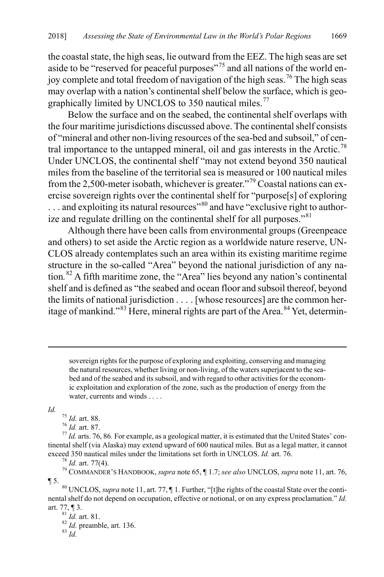the coastal state, the high seas, lie outward from the EEZ. The high seas are set aside to be "reserved for peaceful purposes"<sup>[75](#page-15-0)</sup> and all nations of the world en-joy complete and total freedom of navigation of the high seas.<sup>[76](#page-15-1)</sup> The high seas may overlap with a nation's continental shelf below the surface, which is geo-graphically limited by UNCLOS to 350 nautical miles.<sup>[77](#page-15-2)</sup>

Below the surface and on the seabed, the continental shelf overlaps with the four maritime jurisdictions discussed above. The continental shelf consists of "mineral and other non-living resources of the sea-bed and subsoil," of cen-tral importance to the untapped mineral, oil and gas interests in the Arctic.<sup>[78](#page-15-3)</sup> Under UNCLOS, the continental shelf "may not extend beyond 350 nautical miles from the baseline of the territorial sea is measured or 100 nautical miles from the 2,500-meter isobath, whichever is greater."[79](#page-15-4) Coastal nations can exercise sovereign rights over the continental shelf for "purpose[s] of exploring ... and exploiting its natural resources<sup>"[80](#page-15-5)</sup> and have "exclusive right to author-ize and regulate drilling on the continental shelf for all purposes."<sup>[81](#page-15-6)</sup>

<span id="page-15-9"></span>Although there have been calls from environmental groups (Greenpeace and others) to set aside the Arctic region as a worldwide nature reserve, UN-CLOS already contemplates such an area within its existing maritime regime structure in the so-called "Area" beyond the national jurisdiction of any nation*.* [82](#page-15-7) A fifth maritime zone, the "Area" lies beyond any nation's continental shelf and is defined as "the seabed and ocean floor and subsoil thereof, beyond the limits of national jurisdiction . . . . [whose resources] are the common heritage of mankind." $83$  Here, mineral rights are part of the Area.  $84$  Yet, determin-

sovereign rights for the purpose of exploring and exploiting, conserving and managing the natural resources, whether living or non-living, of the waters superjacent to the seabed and of the seabed and its subsoil, and with regard to other activities for the economic exploitation and exploration of the zone, such as the production of energy from the water, currents and winds . . . .

 $\overline{a}$ 

<span id="page-15-2"></span><span id="page-15-1"></span><span id="page-15-0"></span>*Id.* <sup>75</sup> *Id.* art. 88.<br><sup>76</sup> *Id.* art. 87. *76 Id.* art. 87. *77 Id.* arts. 76, 86. For example, as a geological matter, it is estimated that the United States' continental shelf (via Alaska) may extend upward of 600 nautical miles. But as a legal matter, it cannot exceed 350 nautical miles under the limitations set forth in UNCLOS. *Id.* art. 76.<br><sup>78</sup> *Id.* art. 77(4).<br><sup>79</sup> COMMANDER'S HANDBOOK, *supra* not[e 65,](#page-13-4) ¶ 1.7; *see also* UNCLOS, *supra* not[e 11,](#page-5-2) art. 76,

<span id="page-15-4"></span><span id="page-15-3"></span>

<span id="page-15-5"></span>¶ 5. 80 UNCLOS, *supra* not[e 11,](#page-5-2) art. 77, ¶ 1. Further, "[t]he rights of the coastal State over the continental shelf do not depend on occupation, effective or notional, or on any express proclamation." *Id.*

<span id="page-15-8"></span><span id="page-15-7"></span><span id="page-15-6"></span>art. 77, ¶ 3.<br><sup>81</sup> *Id.* art. 81.<br><sup>82</sup> *Id.* preamble, art. 136.<br><sup>83</sup> *Id.*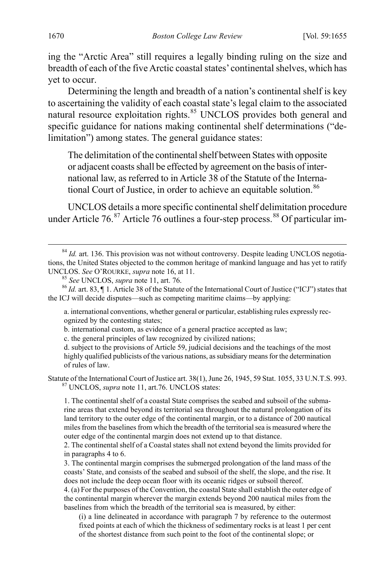ing the "Arctic Area" still requires a legally binding ruling on the size and breadth of each of the five Arctic coastal states' continental shelves, which has yet to occur.

Determining the length and breadth of a nation's continental shelf is key to ascertaining the validity of each coastal state's legal claim to the associated natural resource exploitation rights.<sup>[85](#page-16-0)</sup> UNCLOS provides both general and specific guidance for nations making continental shelf determinations ("delimitation") among states. The general guidance states:

The delimitation of the continental shelf between States with opposite or adjacent coasts shall be effected by agreement on the basis of international law, as referred to in Article 38 of the Statute of the Interna-tional Court of Justice, in order to achieve an equitable solution.<sup>[86](#page-16-1)</sup>

UNCLOS details a more specific continental shelf delimitation procedure under Article 76.<sup>[87](#page-16-2)</sup> Article 76 outlines a four-step process.<sup>[88](#page-16-3)</sup> Of particular im-

a. international conventions, whether general or particular, establishing rules expressly recognized by the contesting states;

b. international custom, as evidence of a general practice accepted as law;

c. the general principles of law recognized by civilized nations;

d. subject to the provisions of Article 59, judicial decisions and the teachings of the most highly qualified publicists of the various nations, as subsidiary means for the determination of rules of law.

<span id="page-16-2"></span>Statute of the International Court of Justice art. 38(1), June 26, 1945, 59 Stat. 1055, 33 U.N.T.S. 993. <sup>87</sup> UNCLOS, *supra* note [11,](#page-5-2) art.76. UNCLOS states:

1. The continental shelf of a coastal State comprises the seabed and subsoil of the submarine areas that extend beyond its territorial sea throughout the natural prolongation of its land territory to the outer edge of the continental margin, or to a distance of 200 nautical miles from the baselines from which the breadth of the territorial sea is measured where the outer edge of the continental margin does not extend up to that distance.

3. The continental margin comprises the submerged prolongation of the land mass of the coasts' State, and consists of the seabed and subsoil of the shelf, the slope, and the rise. It does not include the deep ocean floor with its oceanic ridges or subsoil thereof.

4. (a) For the purposes of the Convention, the coastal State shall establish the outer edge of the continental margin wherever the margin extends beyond 200 nautical miles from the baselines from which the breadth of the territorial sea is measured, by either:

(i) a line delineated in accordance with paragraph 7 by reference to the outermost fixed points at each of which the thickness of sedimentary rocks is at least 1 per cent of the shortest distance from such point to the foot of the continental slope; or

<sup>&</sup>lt;sup>84</sup> Id. art. 136. This provision was not without controversy. Despite leading UNCLOS negotiations, the United States objected to the common heritage of mankind language and has yet to ratify UNCLOS. *See* O'ROURKE, *supra* not[e 16,](#page-6-0) at 11.<br><sup>85</sup> *See* UNCLOS, *supra* note [11,](#page-5-2) art. 76. 86 *Id.* art. 83, ¶ 1. Article 38 of the Statute of the International Court of Justice ("ICJ") states that

<span id="page-16-3"></span><span id="page-16-1"></span><span id="page-16-0"></span>the ICJ will decide disputes—such as competing maritime claims—by applying:

<sup>2.</sup> The continental shelf of a Coastal states shall not extend beyond the limits provided for in paragraphs 4 to 6.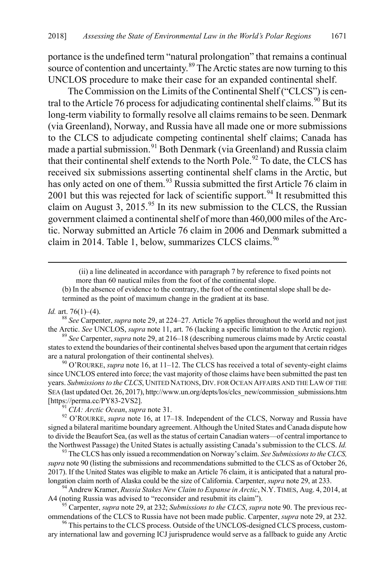portance is the undefined term "natural prolongation" that remains a continual source of contention and uncertainty.<sup>[89](#page-17-1)</sup> The Arctic states are now turning to this UNCLOS procedure to make their case for an expanded continental shelf.

<span id="page-17-0"></span>The Commission on the Limits of the Continental Shelf ("CLCS") is cen-tral to the Article 76 process for adjudicating continental shelf claims.<sup>[90](#page-17-2)</sup> But its long-term viability to formally resolve all claims remains to be seen. Denmark (via Greenland), Norway, and Russia have all made one or more submissions to the CLCS to adjudicate competing continental shelf claims; Canada has made a partial submission.<sup>[91](#page-17-3)</sup> Both Denmark (via Greenland) and Russia claim that their continental shelf extends to the North Pole.<sup>[92](#page-17-4)</sup> To date, the CLCS has received six submissions asserting continental shelf clams in the Arctic, but has only acted on one of them.<sup>[93](#page-17-5)</sup> Russia submitted the first Article 76 claim in 2001 but this was rejected for lack of scientific support.<sup>[94](#page-17-6)</sup> It resubmitted this claim on August 3, 2015.<sup>[95](#page-17-7)</sup> In its new submission to the CLCS, the Russian government claimed a continental shelf of more than 460,000 miles of the Arctic. Norway submitted an Article 76 claim in 2006 and Denmark submitted a claim in 2014. Table 1, below, summarizes CLCS claims. [96](#page-17-8)

<span id="page-17-9"></span> (ii) a line delineated in accordance with paragraph 7 by reference to fixed points not more than 60 nautical miles from the foot of the continental slope.

(b) In the absence of evidence to the contrary, the foot of the continental slope shall be determined as the point of maximum change in the gradient at its base.

*Id.* art. 76(1)–(4). <sup>88</sup> *See* Carpenter, *supra* not[e 29,](#page-7-10) at 224–27. Article 76 applies throughout the world and not just the Arctic. *See* UNCLOS, *supra* not[e 11,](#page-5-2) art. 76 (lacking a specific limitation to the Arctic region). 89 *See* Carpenter, *supra* not[e 29,](#page-7-10) at 216–18 (describing numerous claims made by Arctic coastal

<span id="page-17-1"></span>states to extend the boundaries of their continental shelves based upon the argument that certain ridges are a natural prolongation of their continental shelves).<br><sup>90</sup> O'ROURKE, *supra* not[e 16,](#page-6-0) at 11–12. The CLCS has received a total of seventy-eight claims

<span id="page-17-2"></span>since UNCLOS entered into force; the vast majority of those claims have been submitted the past ten years. *Submissions to the CLCS*, UNITED NATIONS, DIV. FOR OCEAN AFFAIRS AND THE LAW OF THE SEA (last updated Oct. 26, 2017), http://www.un.org/depts/los/clcs\_new/commission\_submissions.htm [https://perma.cc/PY83-2VS2]. 91 *CIA: Arctic Ocean*, *supra* note [31.](#page-8-0) 92 O'ROURKE, *supra* note [16,](#page-6-0) at 17–18. Independent of the CLCS, Norway and Russia have

<span id="page-17-4"></span><span id="page-17-3"></span>signed a bilateral maritime boundary agreement. Although the United States and Canada dispute how to divide the Beaufort Sea, (as well as the status of certain Canadian waters—of central importance to the Northwest Passage) the United States is actually assisting Canada's submission to the CLCS. *Id.* <sup>93</sup> The CLCS has only issued a recommendation on Norway's claim. *See Submissions to the CLCS,* 

<span id="page-17-5"></span>*supra* not[e 90](#page-17-0) (listing the submissions and recommendations submitted to the CLCS as of October 26, 2017). If the United States was eligible to make an Article 76 claim, it is anticipated that a natural pro-<br>longation claim north of Alaska could be the size of California. Carpenter, *supra* note 29, at 233.

<span id="page-17-6"></span><sup>94</sup> Andrew Kramer, *Russia Stakes New Claim to Expanse in Arctic*, N.Y. TIMES, Aug. 4, 2014, at A4 (noting Russia was advised to "reconsider and resubmit its claim"). 95 Carpenter, *supra* note [29,](#page-7-10) at 232; *Submissions to the CLCS*, *supra* not[e 90.](#page-17-0) The previous rec-

<span id="page-17-7"></span>ommendations of the CLCS to Russia have not been made public. Carpenter, *supra* not[e 29,](#page-7-10) at 232. <sup>96</sup> This pertains to the CLCS process. Outside of the UNCLOS-designed CLCS process, custom-

<span id="page-17-8"></span>ary international law and governing ICJ jurisprudence would serve as a fallback to guide any Arctic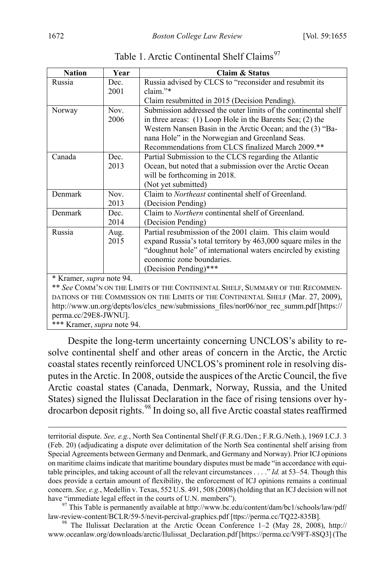| <b>Nation</b>                                                                  | Year | Claim & Status                                                 |  |  |
|--------------------------------------------------------------------------------|------|----------------------------------------------------------------|--|--|
| Russia                                                                         | Dec. | Russia advised by CLCS to "reconsider and resubmit its         |  |  |
|                                                                                | 2001 | claim."*                                                       |  |  |
|                                                                                |      | Claim resubmitted in 2015 (Decision Pending).                  |  |  |
| Norway                                                                         | Nov. | Submission addressed the outer limits of the continental shelf |  |  |
|                                                                                | 2006 | in three areas: $(1)$ Loop Hole in the Barents Sea; $(2)$ the  |  |  |
|                                                                                |      | Western Nansen Basin in the Arctic Ocean; and the (3) "Ba-     |  |  |
|                                                                                |      | nana Hole" in the Norwegian and Greenland Seas.                |  |  |
|                                                                                |      | Recommendations from CLCS finalized March 2009.**              |  |  |
| Canada<br>Dec.                                                                 |      | Partial Submission to the CLCS regarding the Atlantic          |  |  |
|                                                                                | 2013 | Ocean, but noted that a submission over the Arctic Ocean       |  |  |
|                                                                                |      | will be forthcoming in 2018.                                   |  |  |
|                                                                                |      | (Not yet submitted)                                            |  |  |
| Denmark                                                                        | Nov. | Claim to <i>Northeast</i> continental shelf of Greenland.      |  |  |
|                                                                                | 2013 | (Decision Pending)                                             |  |  |
| Denmark                                                                        | Dec. | Claim to <i>Northern</i> continental shelf of Greenland.       |  |  |
|                                                                                | 2014 | (Decision Pending)                                             |  |  |
| Russia                                                                         | Aug. | Partial resubmission of the 2001 claim. This claim would       |  |  |
|                                                                                | 2015 | expand Russia's total territory by 463,000 square miles in the |  |  |
|                                                                                |      | "doughnut hole" of international waters encircled by existing  |  |  |
|                                                                                |      | economic zone boundaries.                                      |  |  |
|                                                                                |      | (Decision Pending)***                                          |  |  |
|                                                                                |      |                                                                |  |  |
| ** See COMM'N ON THE LIMITS OF THE CONTINENTAL SHELF, SUMMARY OF THE RECOMMEN- |      |                                                                |  |  |
| * Kramer, <i>supra</i> note 94.<br>$\sim$ $\sim$ $\sim$ $\sim$                 |      |                                                                |  |  |

Table 1. Arctic Continental Shelf Claims<sup>[97](#page-18-0)</sup>

DATIONS OF THE COMMISSION ON THE LIMITS OF THE CONTINENTAL SHELF (Mar. 27, 2009), http://www.un.org/depts/los/clcs\_new/submissions\_files/nor06/nor\_rec\_summ.pdf [https:// perma.cc/29E8-JWNU].

\*\*\* Kramer, *supra* not[e 94.](#page-17-9)

<span id="page-18-2"></span> $\overline{a}$ 

Despite the long-term uncertainty concerning UNCLOS's ability to resolve continental shelf and other areas of concern in the Arctic, the Arctic coastal states recently reinforced UNCLOS's prominent role in resolving disputes in the Arctic. In 2008, outside the auspices of the Arctic Council, the five Arctic coastal states (Canada, Denmark, Norway, Russia, and the United States) signed the Ilulissat Declaration in the face of rising tensions over hydrocarbon deposit rights.[98](#page-18-1) In doing so, all five Arctic coastal states reaffirmed

territorial dispute. *See, e.g.*, North Sea Continental Shelf (F.R.G./Den.; F.R.G./Neth.), 1969 I.C.J. 3 (Feb. 20) (adjudicating a dispute over delimitation of the North Sea continental shelf arising from Special Agreements between Germany and Denmark, and Germany and Norway). Prior ICJ opinions on maritime claims indicate that maritime boundary disputes must be made "in accordance with equitable principles, and taking account of all the relevant circumstances . . . ." *Id.* at 53–54. Though this does provide a certain amount of flexibility, the enforcement of ICJ opinions remains a continual concern. *See, e.g.*, Medellin v. Texas, 552 U.S. 491, 508 (2008) (holding that an ICJ decision will not

<span id="page-18-0"></span>have "immediate legal effect in the courts of U.N. members").<br><sup>97</sup> This Table is permanently available at http://www.bc.edu/content/dam/bc1/schools/law/pdf/<br>law-review-content/BCLR/59-5/nevit-percival-graphics.pdf [ttps://

<span id="page-18-1"></span><sup>&</sup>lt;sup>98</sup> The Ilulissat Declaration at the Arctic Ocean Conference  $1-2$  (May 28, 2008), http:// www.oceanlaw.org/downloads/arctic/Ilulissat\_Declaration.pdf [https://perma.cc/V9FT-8SQ3] (The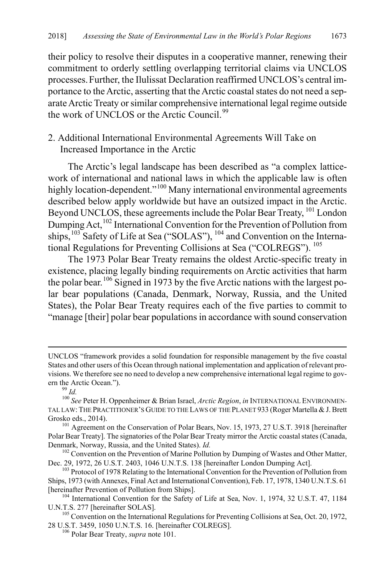their policy to resolve their disputes in a cooperative manner, renewing their commitment to orderly settling overlapping territorial claims via UNCLOS processes.Further, the Ilulissat Declaration reaffirmed UNCLOS's central importance to the Arctic, asserting that the Arctic coastal states do not need a separate Arctic Treaty or similar comprehensive international legal regime outside the work of UNCLOS or the Arctic Council<sup>[99](#page-19-1)</sup>

## 2. Additional International Environmental Agreements Will Take on Increased Importance in the Arctic

<span id="page-19-0"></span>The Arctic's legal landscape has been described as "a complex latticework of international and national laws in which the applicable law is often highly location-dependent."<sup>[100](#page-19-2)</sup> Many international environmental agreements described below apply worldwide but have an outsized impact in the Arctic. Beyond UNCLOS, these agreements include the Polar Bear Treaty, <sup>[101](#page-19-3)</sup> London Dumping Act,<sup>[102](#page-19-4)</sup> International Convention for the Prevention of Pollution from ships, <sup>[103](#page-19-5)</sup> Safety of Life at Sea ("SOLAS"), <sup>[104](#page-19-6)</sup> and Convention on the International Regulations for Preventing Collisions at Sea ("COLREGS"). [105](#page-19-7)

<span id="page-19-12"></span><span id="page-19-11"></span><span id="page-19-10"></span><span id="page-19-9"></span>The 1973 Polar Bear Treaty remains the oldest Arctic-specific treaty in existence, placing legally binding requirements on Arctic activities that harm the polar bear.<sup>[106](#page-19-8)</sup> Signed in 1973 by the five Arctic nations with the largest polar bear populations (Canada, Denmark, Norway, Russia, and the United States), the Polar Bear Treaty requires each of the five parties to commit to "manage [their] polar bear populations in accordance with sound conservation

 $\overline{a}$ 

UNCLOS "framework provides a solid foundation for responsible management by the five coastal States and other users of this Ocean through national implementation and application of relevant provisions. We therefore see no need to develop a new comprehensive international legal regime to gov-

<span id="page-19-2"></span><span id="page-19-1"></span>ern the Arctic Ocean.").<br><sup>99</sup> *Id.* 100 *See* Peter H. Oppenheimer & Brian Israel, *Arctic Region*, *in* INTERNATIONAL ENVIRONMEN-TAL LAW: THE PRACTITIONER'S GUIDE TO THE LAWS OF THE PLANET 933 (Roger Martella & J. Brett Grosko eds., 2014). 101 Agreement on the Conservation of Polar Bears, Nov. 15, 1973, 27 U.S.T. 3918 [hereinafter

<span id="page-19-3"></span>Polar Bear Treaty]. The signatories of the Polar Bear Treaty mirror the Arctic coastal states (Canada, Denmark, Norway, Russia, and the United States). *Id.* 

<span id="page-19-4"></span><sup>&</sup>lt;sup>102</sup> Convention on the Prevention of Marine Pollution by Dumping of Wastes and Other Matter, Dec. 29, 1972, 26 U.S.T. 2403, 1046 U.N.T.S. 138 [hereinafter London Dumping Act].

<span id="page-19-5"></span><sup>&</sup>lt;sup>103</sup> Protocol of 1978 Relating to the International Convention for the Prevention of Pollution from Ships, 1973 (with Annexes, Final Act and International Convention), Feb. 17, 1978, 1340 U.N.T.S. 61

<span id="page-19-6"></span><sup>[</sup>hereinafter Prevention of Pollution from Ships].<br><sup>104</sup> International Convention for the Safety of Life at Sea, Nov. 1, 1974, 32 U.S.T. 47, 1184<br>U.N.T.S. 277 [hereinafter SOLAS].

<span id="page-19-8"></span><span id="page-19-7"></span> $105$  Convention on the International Regulations for Preventing Collisions at Sea, Oct. 20, 1972, 28 U.S.T. 3459, 1050 U.N.T.S. 16. [hereinafter COLREGS]. <sup>106</sup> Polar Bear Treaty, *supra* not[e 101.](#page-19-0)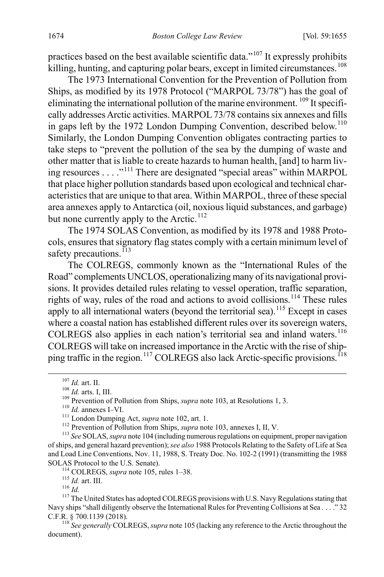practices based on the best available scientific data."<sup>[107](#page-20-1)</sup> It expressly prohibits killing, hunting, and capturing polar bears, except in limited circumstances.<sup>[108](#page-20-2)</sup>

The 1973 International Convention for the Prevention of Pollution from Ships, as modified by its 1978 Protocol ("MARPOL 73/78") has the goal of eliminating the international pollution of the marine environment. [109](#page-20-3) It specifically addresses Arctic activities. MARPOL73/78 contains six annexes and fills in gaps left by the 1972 London Dumping Convention, described below.<sup>[110](#page-20-4)</sup> Similarly, the London Dumping Convention obligates contracting parties to take steps to "prevent the pollution of the sea by the dumping of waste and other matter that is liable to create hazards to human health, [and] to harm living resources . . . ."[111](#page-20-5) There are designated "special areas" within MARPOL that place higher pollution standards based upon ecological and technical characteristics that are unique to that area. Within MARPOL, three of these special area annexes apply to Antarctica (oil, noxious liquid substances, and garbage) but none currently apply to the Arctic.<sup>[112](#page-20-6)</sup>

The 1974 SOLAS Convention, as modified by its 1978 and 1988 Protocols, ensures that signatory flag states comply with a certain minimum level of safety precautions.<sup>113</sup>

The COLREGS, commonly known as the "International Rules of the Road" complements UNCLOS, operationalizing many of its navigational provisions. It provides detailed rules relating to vessel operation, traffic separation, rights of way, rules of the road and actions to avoid collisions.<sup>[114](#page-20-8)</sup> These rules apply to all international waters (beyond the territorial sea).<sup>[115](#page-20-9)</sup> Except in cases where a coastal nation has established different rules over its sovereign waters, COLREGS also applies in each nation's territorial sea and inland waters.<sup>[116](#page-20-10)</sup> COLREGS will take on increased importance in the Arctic with the rise of ship-ping traffic in the region.<sup>[117](#page-20-11)</sup> COLREGS also lack Arctic-specific provisions.<sup>[118](#page-20-12)</sup>

<span id="page-20-11"></span><span id="page-20-10"></span><span id="page-20-9"></span><span id="page-20-8"></span>Navy ships "shall diligently observe the International Rules for Preventing Collisions at Sea . . . ." 32 C.F.R. § 700.1139 (2018).

<span id="page-20-12"></span><sup>118</sup> See generally COLREGS, *supra* not[e 105](#page-19-12) (lacking any reference to the Arctic throughout the document).

<span id="page-20-0"></span>

<span id="page-20-7"></span><span id="page-20-6"></span>

<span id="page-20-5"></span><span id="page-20-4"></span><span id="page-20-3"></span><span id="page-20-2"></span><span id="page-20-1"></span><sup>&</sup>lt;sup>107</sup> *Id.* art. II.<br><sup>108</sup> *Id.* arts. I, III.<br><sup>109</sup> Prevention of Pollution from Ships, *supra* not[e 103,](#page-19-9) at Resolutions 1, 3.<br><sup>110</sup> *Id.* annexes I–VI.<br><sup>111</sup> London Dumping Act, *supra* note [102,](#page-19-10) art. 1.<br><sup>112</sup> Preventio of ships, and general hazard prevention); *see also* 1988 Protocols Relating to the Safety of Life at Sea and Load Line Conventions, Nov. 11, 1988, S. Treaty Doc. No. 102-2 (1991) (transmitting the 1988 SOLAS Protocol to the U.S. Senate).<br><sup>114</sup> COLREGS, *supra* not[e 105,](#page-19-12) rules 1–38.<br><sup>115</sup> *Id.* 11<sup>1</sup> *Id.* 117 The United States has adopted COLREGS provisions with U.S. Navy Regulations stating that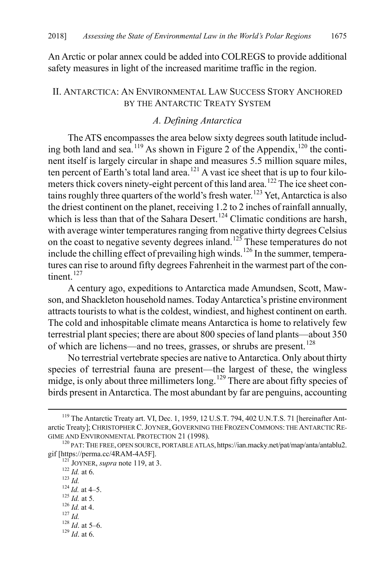An Arctic or polar annex could be added into COLREGS to provide additional safety measures in light of the increased maritime traffic in the region.

#### II. ANTARCTICA: AN ENVIRONMENTAL LAW SUCCESS STORY ANCHORED BY THE ANTARCTIC TREATY SYSTEM

#### <span id="page-21-0"></span>*A. Defining Antarctica*

The ATS encompasses the area below sixty degrees south latitude includ-ing both land and sea.<sup>[119](#page-21-1)</sup> As shown in Figure 2 of the Appendix,<sup>120</sup> the continent itself is largely circular in shape and measures 5.5 million square miles, ten percent of Earth's total land area.<sup>[121](#page-21-3)</sup> A vast ice sheet that is up to four kilo-meters thick covers ninety-eight percent of this land area.<sup>[122](#page-21-4)</sup> The ice sheet con-tains roughly three quarters of the world's fresh water.<sup>[123](#page-21-5)</sup> Yet, Antarctica is also the driest continent on the planet, receiving 1.2 to 2 inches of rainfall annually, which is less than that of the Sahara Desert.<sup>[124](#page-21-6)</sup> Climatic conditions are harsh, with average winter temperatures ranging from negative thirty degrees Celsius on the coast to negative seventy degrees inland.<sup>[125](#page-21-7)</sup> These temperatures do not include the chilling effect of prevailing high winds.<sup>[126](#page-21-8)</sup> In the summer, temperatures can rise to around fifty degrees Fahrenheit in the warmest part of the continent. $127$ 

A century ago, expeditions to Antarctica made Amundsen, Scott, Mawson, and Shackleton household names. Today Antarctica's pristine environment attracts tourists to what is the coldest, windiest, and highest continent on earth. The cold and inhospitable climate means Antarctica is home to relatively few terrestrial plant species; there are about 800 species of land plants—about 350 of which are lichens—and no trees, grasses, or shrubs are present.<sup>[128](#page-21-10)</sup>

No terrestrial vertebrate species are native to Antarctica. Only about thirty species of terrestrial fauna are present—the largest of these, the wingless midge, is only about three millimeters long.<sup>[129](#page-21-11)</sup> There are about fifty species of birds present in Antarctica. The most abundant by far are penguins, accounting

- <span id="page-21-9"></span><span id="page-21-8"></span>
- <span id="page-21-10"></span>
- 
- <span id="page-21-11"></span>

<span id="page-21-1"></span><sup>&</sup>lt;sup>119</sup> The Antarctic Treaty art. VI, Dec. 1, 1959, 12 U.S.T. 794, 402 U.N.T.S. 71 [hereinafter Antarctic Treaty]; CHRISTOPHER C.JOYNER, GOVERNING THE FROZEN COMMONS: THE ANTARCTIC RE-

<span id="page-21-4"></span><span id="page-21-3"></span><span id="page-21-2"></span>GIME AND ENVIRONMENTAL PROTECTION 21 (1998).<br><sup>120</sup> PAT: THE FREE, OPEN SOURCE, PORTABLE ATLAS, https://ian.macky.net/pat/map/anta/antablu2.<br>gif [https://perma.cc/4RAM-4A5F]. gif [https://perma.cc/4RAM-4A5F].<br><sup>121</sup> JOYNER, *supra* note 119, at 3.<br><sup>122</sup> *Id.* at 6.<br><sup>123</sup> *Id.* at 4.<br><sup>124</sup> *Id.* at 4.<br><sup>125</sup> *Id.* at 5.<br><sup>126</sup> *Id.* at 4.<br><sup>127</sup> *Id.* at 5.<br><sup>128</sup> *Id.* at 5.<br><sup>128</sup> *Id.* at 5.<br><sup>128</sup>

<span id="page-21-5"></span>

<span id="page-21-6"></span>

<span id="page-21-7"></span>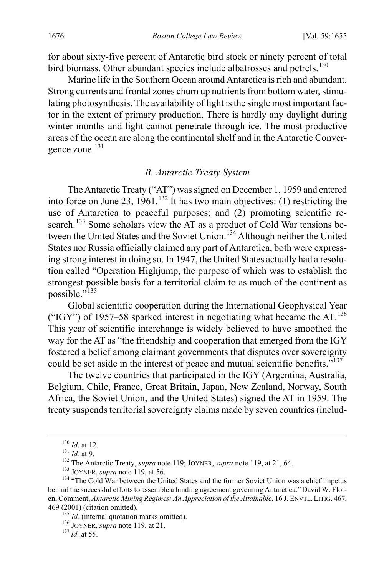for about sixty-five percent of Antarctic bird stock or ninety percent of total bird biomass. Other abundant species include albatrosses and petrels.<sup>[130](#page-22-0)</sup>

Marine life in the Southern Ocean around Antarctica is rich and abundant. Strong currents and frontal zones churn up nutrients from bottom water, stimulating photosynthesis. The availability of light is the single most important factor in the extent of primary production. There is hardly any daylight during winter months and light cannot penetrate through ice. The most productive areas of the ocean are along the continental shelf and in the Antarctic Conver-gence zone.<sup>[131](#page-22-1)</sup>

#### <span id="page-22-8"></span>*B. Antarctic Treaty System*

The Antarctic Treaty ("AT") was signed on December 1, 1959 and entered into force on June 23,  $1961$ <sup>[132](#page-22-2)</sup> It has two main objectives: (1) restricting the use of Antarctica to peaceful purposes; and (2) promoting scientific re-search.<sup>[133](#page-22-3)</sup> Some scholars view the AT as a product of Cold War tensions be-tween the United States and the Soviet Union.<sup>[134](#page-22-4)</sup> Although neither the United States nor Russia officially claimed any part of Antarctica, both were expressing strong interest in doing so. In 1947, the United States actually had a resolution called "Operation Highjump, the purpose of which was to establish the strongest possible basis for a territorial claim to as much of the continent as possible."<sup>[135](#page-22-5)</sup>

Global scientific cooperation during the International Geophysical Year ("IGY") of 1957–58 sparked interest in negotiating what became the AT.<sup>[136](#page-22-6)</sup> This year of scientific interchange is widely believed to have smoothed the way for the AT as "the friendship and cooperation that emerged from the IGY fostered a belief among claimant governments that disputes over sovereignty could be set aside in the interest of peace and mutual scientific benefits."<sup>[137](#page-22-7)</sup>

The twelve countries that participated in the IGY (Argentina, Australia, Belgium, Chile, France, Great Britain, Japan, New Zealand, Norway, South Africa, the Soviet Union, and the United States) signed the AT in 1959. The treaty suspends territorial sovereignty claims made by seven countries (includ-

<span id="page-22-4"></span><span id="page-22-3"></span><span id="page-22-2"></span><span id="page-22-1"></span><span id="page-22-0"></span><sup>&</sup>lt;sup>130</sup> *Id.* at 12.<br><sup>131</sup> *Id.* at 9.<br><sup>132</sup> The Antarctic Treaty, *supra* note [119;](#page-21-0) JOYNER, *supra* not[e 119,](#page-21-0) at 21, 64.<br><sup>133</sup> JOYNER, *supra* note 119, at 56.<br><sup>134</sup> "The Cold War between the United States and the former S behind the successful efforts to assemble a binding agreement governing Antarctica." David W. Floren, Comment, *Antarctic Mining Regimes: An Appreciation of the Attainable*, 16 J. ENVTL.LITIG. 467, 469 (2001) (citation omitted).<br><sup>135</sup> *Id.* (internal quotation marks omitted).<br><sup>136</sup> JOYNER, *supra* not[e 119,](#page-21-0) at 21.<br><sup>137</sup> *Id.* at 55.

<span id="page-22-6"></span><span id="page-22-5"></span>

<span id="page-22-7"></span>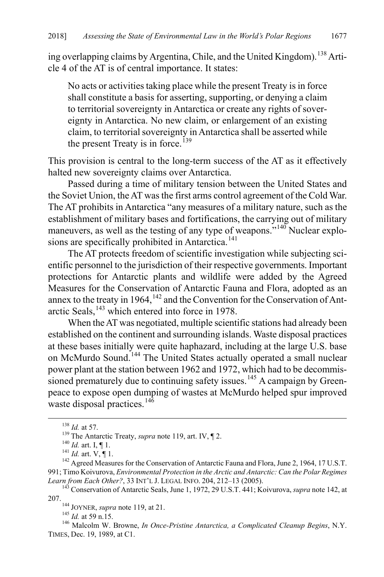ing overlapping claims by Argentina, Chile, and the United Kingdom).<sup>[138](#page-23-1)</sup> Article 4 of the AT is of central importance. It states:

No acts or activities taking place while the present Treaty is in force shall constitute a basis for asserting, supporting, or denying a claim to territorial sovereignty in Antarctica or create any rights of sovereignty in Antarctica. No new claim, or enlargement of an existing claim, to territorial sovereignty in Antarctica shall be asserted while the present Treaty is in force.<sup>[139](#page-23-2)</sup>

This provision is central to the long-term success of the AT as it effectively halted new sovereignty claims over Antarctica.

Passed during a time of military tension between the United States and the Soviet Union, the AT was the first arms control agreement of the Cold War. The AT prohibits in Antarctica "any measures of a military nature, such as the establishment of military bases and fortifications, the carrying out of military maneuvers, as well as the testing of any type of weapons."<sup>[140](#page-23-3)</sup> Nuclear explo-sions are specifically prohibited in Antarctica.<sup>[141](#page-23-4)</sup>

The AT protects freedom of scientific investigation while subjecting scientific personnel to the jurisdiction of their respective governments. Important protections for Antarctic plants and wildlife were added by the Agreed Measures for the Conservation of Antarctic Fauna and Flora, adopted as an annex to the treaty in 1964,  $^{142}$  $^{142}$  $^{142}$  and the Convention for the Conservation of Ant-arctic Seals, <sup>[143](#page-23-6)</sup> which entered into force in 1978.

<span id="page-23-0"></span>When the AT was negotiated, multiple scientific stations had already been established on the continent and surrounding islands. Waste disposal practices at these bases initially were quite haphazard, including at the large U.S. base on McMurdo Sound.<sup>[144](#page-23-7)</sup> The United States actually operated a small nuclear power plant at the station between 1962 and 1972, which had to be decommis-sioned prematurely due to continuing safety issues.<sup>[145](#page-23-8)</sup> A campaign by Greenpeace to expose open dumping of wastes at McMurdo helped spur improved waste disposal practices.<sup>14 $\delta$ </sup>

<span id="page-23-4"></span><span id="page-23-3"></span><span id="page-23-2"></span><span id="page-23-1"></span><sup>&</sup>lt;sup>138</sup> *Id.* at 57.<br><sup>139</sup> The Antarctic Treaty, *supra* note 119, art. IV,  $\P$  2.<br><sup>140</sup> *Id.* art. I,  $\P$  1.<br><sup>141</sup> *Id.* art. V,  $\P$  1.<br><sup>141</sup> *Id.* art. V,  $\P$  1.<br><sup>142</sup> Agreed Measures for the Conservation of Antarctic Fau 991; Timo Koivurova, *Environmental Protection in the Arctic and Antarctic: Can the Polar Regimes* 

<span id="page-23-7"></span><span id="page-23-6"></span><span id="page-23-5"></span><sup>&</sup>lt;sup>143</sup> Conservation of Antarctic Seals, June 1, 1972, 29 U.S.T. 441; Koivurova, *supra* not[e 142,](#page-23-0) at 207.<br><sup>144</sup> JOYNER, *supra* note [119,](#page-21-0) at 21.<br><sup>145</sup> *Id.* at 59 n.15. <sup>146</sup> Malcolm W. Browne, *In Once-Pristine Antarctica, a Complicated Cleanup Begins*, N.Y.

<span id="page-23-9"></span><span id="page-23-8"></span>TIMES, Dec. 19, 1989, at C1.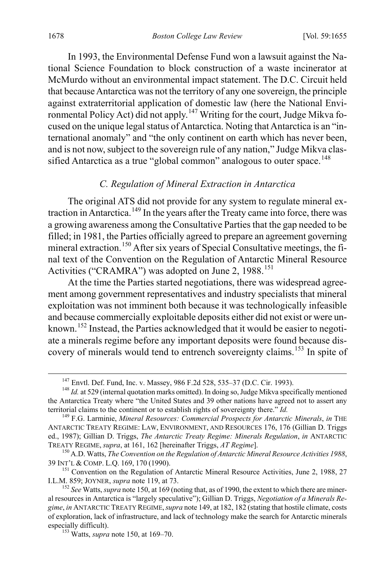In 1993, the Environmental Defense Fund won a lawsuit against the National Science Foundation to block construction of a waste incinerator at McMurdo without an environmental impact statement. The D.C. Circuit held that because Antarctica was not the territory of any one sovereign, the principle against extraterritorial application of domestic law (here the National Envi-ronmental Policy Act) did not apply.<sup>[147](#page-24-2)</sup> Writing for the court, Judge Mikva focused on the unique legal status of Antarctica. Noting that Antarctica is an "international anomaly" and "the only continent on earth which has never been, and is not now, subject to the sovereign rule of any nation," Judge Mikva clas-sified Antarctica as a true "global common" analogous to outer space.<sup>[148](#page-24-3)</sup>

### <span id="page-24-1"></span><span id="page-24-0"></span>*C. Regulation of Mineral Extraction in Antarctica*

The original ATS did not provide for any system to regulate mineral ex-traction in Antarctica.<sup>[149](#page-24-4)</sup> In the years after the Treaty came into force, there was a growing awareness among the Consultative Parties that the gap needed to be filled; in 1981, the Parties officially agreed to prepare an agreement governing mineral extraction.<sup>[150](#page-24-5)</sup> After six years of Special Consultative meetings, the final text of the Convention on the Regulation of Antarctic Mineral Resource Activities ("CRAMRA") was adopted on June 2, 1988.<sup>[151](#page-24-6)</sup>

At the time the Parties started negotiations, there was widespread agreement among government representatives and industry specialists that mineral exploitation was not imminent both because it was technologically infeasible and because commercially exploitable deposits either did not exist or were unknown.[152](#page-24-7) Instead, the Parties acknowledged that it would be easier to negotiate a minerals regime before any important deposits were found because dis-covery of minerals would tend to entrench sovereignty claims.<sup>[153](#page-24-8)</sup> In spite of

<span id="page-24-3"></span><span id="page-24-2"></span><sup>&</sup>lt;sup>147</sup> Envtl. Def. Fund, Inc. v. Massey, 986 F.2d 528, 535–37 (D.C. Cir. 1993).<br><sup>148</sup> *Id.* at 529 (internal quotation marks omitted). In doing so, Judge Mikva specifically mentioned the Antarctica Treaty where "the United States and 39 other nations have agreed not to assert any territorial claims to the continent or to establish rights of sovereignty there." *Id.* <sup>149</sup> F.G. Larminie, *Mineral Resources: Commercial Prospects for Antarctic Minerals*, *in* THE

<span id="page-24-4"></span>ANTARCTIC TREATY REGIME: LAW, ENVIRONMENT, AND RESOURCES 176, 176 (Gillian D. Triggs ed., 1987); Gillian D. Triggs, *The Antarctic Treaty Regime: Minerals Regulation*, *in* ANTARCTIC

<span id="page-24-5"></span><sup>&</sup>lt;sup>150</sup> A.D. Watts, *The Convention on the Regulation of Antarctic Mineral Resource Activities 1988*, **39 INT'L & COMP. L.Q. 169, 170 (1990)**.

<span id="page-24-6"></span><sup>&</sup>lt;sup>151</sup> Convention on the Regulation of Antarctic Mineral Resource Activities, June 2, 1988, 27 I.L.M. 859; JOYNER, *supra* note 119, at 73.

<span id="page-24-8"></span><span id="page-24-7"></span><sup>&</sup>lt;sup>152</sup> See Watts, *supra* not[e 150,](#page-24-0) at 169 (noting that, as of 1990, the extent to which there are mineral resources in Antarctica is "largely speculative"); Gillian D. Triggs, *Negotiation of a Minerals Regime*, *in* ANTARCTIC TREATY REGIME,*supra* not[e 149,](#page-24-1) at 182, 182 (stating that hostile climate, costs of exploration, lack of infrastructure, and lack of technology make the search for Antarctic minerals especially difficult). <sup>153</sup> Watts, *supra* not[e 150,](#page-24-0) at 169–70.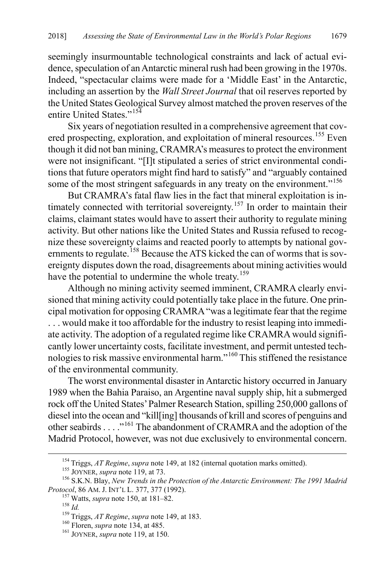seemingly insurmountable technological constraints and lack of actual evidence, speculation of an Antarctic mineral rush had been growing in the 1970s. Indeed, "spectacular claims were made for a 'Middle East' in the Antarctic, including an assertion by the *Wall Street Journal* that oil reserves reported by the United States Geological Survey almost matched the proven reserves of the entire United States."[154](#page-25-0)

Six years of negotiation resulted in a comprehensive agreement that cov-ered prospecting, exploration, and exploitation of mineral resources.<sup>[155](#page-25-1)</sup> Even though it did not ban mining, CRAMRA's measures to protect the environment were not insignificant. "[I]t stipulated a series of strict environmental conditions that future operators might find hard to satisfy" and "arguably contained some of the most stringent safeguards in any treaty on the environment."<sup>[156](#page-25-2)</sup>

<span id="page-25-8"></span>But CRAMRA's fatal flaw lies in the fact that mineral exploitation is in-timately connected with territorial sovereignty.<sup>[157](#page-25-3)</sup> In order to maintain their claims, claimant states would have to assert their authority to regulate mining activity. But other nations like the United States and Russia refused to recognize these sovereignty claims and reacted poorly to attempts by national gov-ernments to regulate.<sup>[158](#page-25-4)</sup> Because the ATS kicked the can of worms that is sovereignty disputes down the road, disagreements about mining activities would have the potential to undermine the whole treaty.<sup>[159](#page-25-5)</sup>

Although no mining activity seemed imminent, CRAMRA clearly envisioned that mining activity could potentially take place in the future. One principal motivation for opposing CRAMRA "was a legitimate fear that the regime . . . would make it too affordable for the industry to resist leaping into immediate activity. The adoption of a regulated regime like CRAMRA would significantly lower uncertainty costs, facilitate investment, and permit untested technologies to risk massive environmental harm."[160](#page-25-6) This stiffened the resistance of the environmental community.

The worst environmental disaster in Antarctic history occurred in January 1989 when the Bahia Paraiso, an Argentine naval supply ship, hit a submerged rock off the United States' Palmer Research Station, spilling 250,000 gallons of diesel into the ocean and "kill[ing] thousands of krill and scores of penguins and other seabirds . . . ."[161](#page-25-7) The abandonment of CRAMRA and the adoption of the Madrid Protocol, however, was not due exclusively to environmental concern.

<span id="page-25-3"></span><span id="page-25-2"></span><span id="page-25-1"></span><span id="page-25-0"></span><sup>&</sup>lt;sup>154</sup> Triggs, *AT Regime, supra* not[e 149,](#page-24-1) at 182 (internal quotation marks omitted).<br><sup>155</sup> JOYNER, *supra* not[e 119,](#page-21-0) at 73.<br><sup>156</sup> S.K.N. Blay, *New Trends in the Protection of the Antarctic Environment: The 1991 Madrid P* 

<span id="page-25-4"></span>

<sup>&</sup>lt;sup>157</sup> Watts, *supra* not[e 150,](#page-24-0) at 181–82.<br><sup>158</sup> *Id.*<br><sup>159</sup> Triggs, *AT Regime, supra* not[e 149,](#page-24-1) at 183.<br><sup>160</sup> Floren, *supra* note [134,](#page-22-8) at 485.<br><sup>161</sup> JOYNER, *supra* not[e 119,](#page-21-0) at 150.

<span id="page-25-6"></span><span id="page-25-5"></span>

<span id="page-25-7"></span>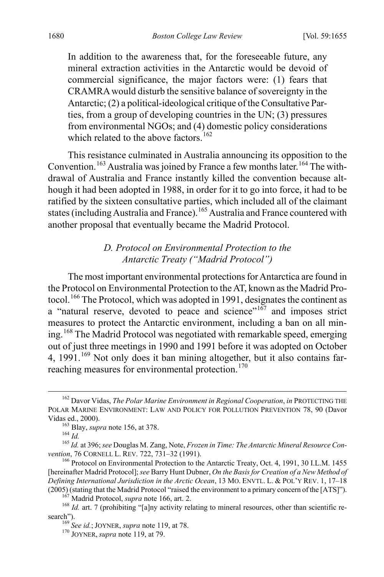In addition to the awareness that, for the foreseeable future, any mineral extraction activities in the Antarctic would be devoid of commercial significance, the major factors were: (1) fears that CRAMRA would disturb the sensitive balance of sovereignty in the Antarctic; (2) a political-ideological critique of the Consultative Parties, from a group of developing countries in the UN; (3) pressures from environmental NGOs; and (4) domestic policy considerations which related to the above factors.<sup>[162](#page-26-1)</sup>

This resistance culminated in Australia announcing its opposition to the Convention.<sup>[163](#page-26-2)</sup> Australia was joined by France a few months later.<sup>[164](#page-26-3)</sup> The withdrawal of Australia and France instantly killed the convention because although it had been adopted in 1988, in order for it to go into force, it had to be ratified by the sixteen consultative parties, which included all of the claimant states (including Australia and France).[165](#page-26-4) Australia and France countered with another proposal that eventually became the Madrid Protocol.

#### *D. Protocol on Environmental Protection to the Antarctic Treaty ("Madrid Protocol")*

<span id="page-26-0"></span>The most important environmental protections for Antarctica are found in the Protocol on Environmental Protection to the AT, known as the Madrid Pro-tocol.<sup>[166](#page-26-5)</sup> The Protocol, which was adopted in 1991, designates the continent as a "natural reserve, devoted to peace and science"<sup>[167](#page-26-6)</sup> and imposes strict measures to protect the Antarctic environment, including a ban on all mining.[168](#page-26-7) The Madrid Protocol was negotiated with remarkable speed, emerging out of just three meetings in 1990 and 1991 before it was adopted on October 4,  $1991<sup>169</sup>$  $1991<sup>169</sup>$  $1991<sup>169</sup>$  Not only does it ban mining altogether, but it also contains far-reaching measures for environmental protection.<sup>[170](#page-26-9)</sup>

<span id="page-26-1"></span> <sup>162</sup> Davor Vidas, *The Polar Marine Environment in Regional Cooperation*, *in* PROTECTING THE POLAR MARINE ENVIRONMENT: LAW AND POLICY FOR POLLUTION PREVENTION 78, 90 (Davor

<span id="page-26-3"></span><span id="page-26-2"></span>Vidas ed., 2000).<br><sup>163</sup> Blay, *supra* note [156,](#page-25-8) at 378.<br><sup>164</sup> *Id.* <sup>165</sup> *Id.* at 396; *see* Douglas M. Zang, Note, *Frozen in Time: The Antarctic Mineral Resource Convention*, 76 CORNELL L. REV. 722, 731–32 (1991).

<span id="page-26-5"></span><span id="page-26-4"></span><sup>&</sup>lt;sup>166</sup> Protocol on Environmental Protection to the Antarctic Treaty, Oct. 4, 1991, 30 I.L.M. 1455 [hereinafter Madrid Protocol]; *see* Barry Hunt Dubner, *On the Basis for Creation of a New Method of Defining International Jurisdiction in the Arctic Ocean*, 13 MO. ENVTL. L. & POL'Y REV. 1, 17–18 (2005) (stating that the Madrid Protocol "raised the environment to a primary concern of the [ATS]").

<span id="page-26-9"></span><span id="page-26-8"></span><span id="page-26-7"></span><span id="page-26-6"></span><sup>&</sup>lt;sup>167</sup> Madrid Protocol, *supra* not[e 166,](#page-26-0) art. 2.<br><sup>168</sup> *Id.* art. 7 (prohibiting "[a]ny activity relating to mineral resources, other than scientific research"). 169 *See id.*; JOYNER, *supra* not[e 119,](#page-21-0) at 78. 170 JOYNER, *supra* note [119,](#page-21-0) at 79.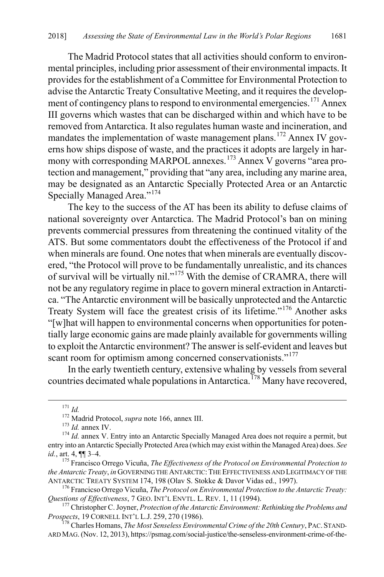The Madrid Protocol states that all activities should conform to environmental principles, including prior assessment of their environmental impacts. It provides for the establishment of a Committee for Environmental Protection to advise the Antarctic Treaty Consultative Meeting, and it requires the develop-ment of contingency plans to respond to environmental emergencies.<sup>[171](#page-27-0)</sup> Annex III governs which wastes that can be discharged within and which have to be removed from Antarctica. It also regulates human waste and incineration, and mandates the implementation of waste management plans.<sup>[172](#page-27-1)</sup> Annex IV governs how ships dispose of waste, and the practices it adopts are largely in har-mony with corresponding MARPOL annexes.<sup>[173](#page-27-2)</sup> Annex V governs "area protection and management," providing that "any area, including any marine area, may be designated as an Antarctic Specially Protected Area or an Antarctic Specially Managed Area."[174](#page-27-3)

The key to the success of the AT has been its ability to defuse claims of national sovereignty over Antarctica. The Madrid Protocol's ban on mining prevents commercial pressures from threatening the continued vitality of the ATS. But some commentators doubt the effectiveness of the Protocol if and when minerals are found. One notes that when minerals are eventually discovered, "the Protocol will prove to be fundamentally unrealistic, and its chances of survival will be virtually nil."[175](#page-27-4) With the demise of CRAMRA, there will not be any regulatory regime in place to govern mineral extraction in Antarctica. "The Antarctic environment will be basically unprotected and the Antarctic Treaty System will face the greatest crisis of its lifetime."[176](#page-27-5) Another asks "[w]hat will happen to environmental concerns when opportunities for potentially large economic gains are made plainly available for governments willing to exploit the Antarctic environment? The answer is self-evident and leaves but scant room for optimism among concerned conservationists."<sup>[177](#page-27-6)</sup>

In the early twentieth century, extensive whaling by vessels from several countries decimated whale populations in Antarctica.<sup>[178](#page-27-7)</sup> Many have recovered,

<span id="page-27-3"></span><span id="page-27-2"></span><span id="page-27-1"></span><span id="page-27-0"></span><sup>171</sup> *Id.*<br><sup>172</sup> Madrid Protocol, *supra* not[e 166,](#page-26-0) annex III.<br><sup>173</sup> *Id.* annex IV. 174 *Id.* annex V. Entry into an Antarctic Specially Managed Area does not require a permit, but entry into an Antarctic Specially Protected Area (which may exist within the Managed Area) does. *See id.*, art. 4,  $\P$  3–4.<br><sup>175</sup> Francisco Orrego Vicuña, *The Effectiveness of the Protocol on Environmental Protection to* 

<span id="page-27-4"></span>*the Antarctic Treaty*, *in* GOVERNING THE ANTARCTIC: THE EFFECTIVENESS AND LEGITIMACY OF THE ANTARCTIC TREATY SYSTEM 174, 198 (Olav S. Stokke & Davor Vidas ed., 1997).

<span id="page-27-5"></span><sup>&</sup>lt;sup>176</sup> Francicso Orrego Vicuña, *The Protocol on Environmental Protection to the Antarctic Treaty: Questions of Effectiveness*, 7 GEO. INT'L ENVTL. L. REV. 1, 11 (1994).

<span id="page-27-6"></span><sup>&</sup>lt;sup>177</sup> Christopher C. Joyner, *Protection of the Antarctic Environment: Rethinking the Problems and Prospects*, 19 CORNELL INT'L L.J. 259, 270 (1986).

<span id="page-27-7"></span><sup>&</sup>lt;sup>178</sup> Charles Homans, *The Most Senseless Environmental Crime of the 20th Century*, PAC. STAND-ARD MAG. (Nov. 12, 2013), https://psmag.com/social-justice/the-senseless-environment-crime-of-the-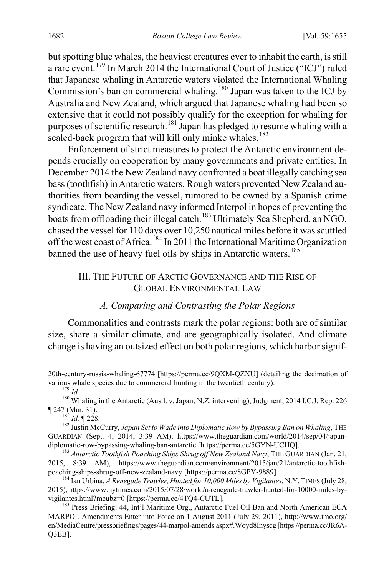but spotting blue whales, the heaviest creatures ever to inhabit the earth, is still a rare event.<sup>[179](#page-28-1)</sup> In March 2014 the International Court of Justice ("ICJ") ruled that Japanese whaling in Antarctic waters violated the International Whaling Commission's ban on commercial whaling.<sup>[180](#page-28-2)</sup> Japan was taken to the ICJ by Australia and New Zealand, which argued that Japanese whaling had been so extensive that it could not possibly qualify for the exception for whaling for purposes of scientific research.<sup>[181](#page-28-3)</sup> Japan has pledged to resume whaling with a scaled-back program that will kill only minke whales.<sup>[182](#page-28-4)</sup>

Enforcement of strict measures to protect the Antarctic environment depends crucially on cooperation by many governments and private entities. In December 2014 the New Zealand navy confronted a boat illegally catching sea bass (toothfish) in Antarctic waters. Rough waters prevented New Zealand authorities from boarding the vessel, rumored to be owned by a Spanish crime syndicate. The New Zealand navy informed Interpol in hopes of preventing the boats from offloading their illegal catch.<sup>[183](#page-28-5)</sup> Ultimately Sea Shepherd, an NGO, chased the vessel for 110 days over 10,250 nautical miles before it was scuttled off the west coast of Africa.<sup>[184](#page-28-6)</sup> In 2011 the International Maritime Organization banned the use of heavy fuel oils by ships in Antarctic waters.<sup>[185](#page-28-7)</sup>

#### III. THE FUTURE OF ARCTIC GOVERNANCE AND THE RISE OF GLOBAL ENVIRONMENTAL LAW

#### <span id="page-28-0"></span>*A. Comparing and Contrasting the Polar Regions*

Commonalities and contrasts mark the polar regions: both are of similar size, share a similar climate, and are geographically isolated. And climate change is having an outsized effect on both polar regions, which harbor signif-

 $\overline{a}$ 

<span id="page-28-1"></span><sup>20</sup>th-century-russia-whaling-67774 [https://perma.cc/9QXM-QZXU] (detailing the decimation of various whale species due to commercial hunting in the twentieth century).<br><sup>179</sup> *Id.* <sup>180</sup> Whaling in the Antarctic (Austl. v. Japan; N.Z. intervening), Judgment, 2014 I.C.J. Rep. 226

<span id="page-28-4"></span><span id="page-28-3"></span><span id="page-28-2"></span><sup>¶ 247 (</sup>Mar. 31). <sup>181</sup> *Id.* ¶ 228. 182 Justin McCurry, *Japan Set to Wade into Diplomatic Row by Bypassing Ban on Whaling*, THE GUARDIAN (Sept. 4, 2014, 3:39 AM), https://www.theguardian.com/world/2014/sep/04/japan-<br>diplomatic-row-bypassing-whaling-ban-antarctic [https://perma.cc/5GYN-UCHO].

<span id="page-28-5"></span><sup>&</sup>lt;sup>183</sup> Antarctic Toothfish Poaching Ships Shrug off New Zealand Navy, THE GUARDIAN (Jan. 21, 2015, 8:39 AM), https://www.theguardian.com/environment/2015/jan/21/antarctic-toothfish-<br>poaching-ships-shrug-off-new-zealand-navy [https://perma.cc/8GPY-9889].

<span id="page-28-6"></span><sup>&</sup>lt;sup>184</sup> Ian Urbina, *A Renegade Trawler, Hunted for 10,000 Miles by Vigilantes*, N.Y. TIMES (July 28, 2015), https://www.nytimes.com/2015/07/28/world/a-renegade-trawler-hunted-for-10000-miles-byvigilantes.html?mcubz=0 [https://perma.cc/4TQ4-CUTL].<br><sup>185</sup> Press Briefing: 44, Int'l Maritime Org., Antarctic Fuel Oil Ban and North American ECA

<span id="page-28-7"></span>MARPOL Amendments Enter into Force on 1 August 2011 (July 29, 2011), http://www.imo.org/ en/MediaCentre/pressbriefings/pages/44-marpol-amends.aspx#.Woyd8Inyscg [https://perma.cc/JR6A-Q3EB].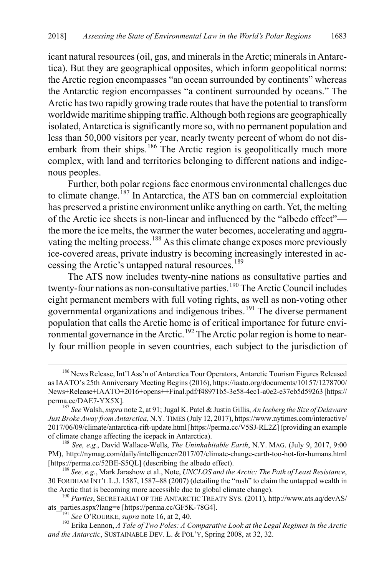icant natural resources (oil, gas, and minerals in theArctic; minerals in Antarctica). But they are geographical opposites, which inform geopolitical norms: the Arctic region encompasses "an ocean surrounded by continents" whereas the Antarctic region encompasses "a continent surrounded by oceans." The Arctic has two rapidly growing trade routes that have the potential to transform worldwide maritime shipping traffic. Although both regions are geographically isolated, Antarctica is significantly more so, with no permanent population and less than 50,000 visitors per year, nearly twenty percent of whom do not dis-embark from their ships.<sup>[186](#page-29-1)</sup> The Arctic region is geopolitically much more complex, with land and territories belonging to different nations and indigenous peoples.

<span id="page-29-8"></span><span id="page-29-0"></span>Further, both polar regions face enormous environmental challenges due to climate change.<sup>[187](#page-29-2)</sup> In Antarctica, the ATS ban on commercial exploitation has preserved a pristine environment unlike anything on earth. Yet, the melting of the Arctic ice sheets is non-linear and influenced by the "albedo effect" the more the ice melts, the warmer the water becomes, accelerating and aggra-vating the melting process.<sup>[188](#page-29-3)</sup> As this climate change exposes more previously ice-covered areas, private industry is becoming increasingly interested in ac-cessing the Arctic's untapped natural resources.<sup>[189](#page-29-4)</sup>

The ATS now includes twenty-nine nations as consultative parties and twenty-four nations as non-consultative parties.<sup>[190](#page-29-5)</sup> The Arctic Council includes eight permanent members with full voting rights, as well as non-voting other governmental organizations and indigenous tribes.<sup>[191](#page-29-6)</sup> The diverse permanent population that calls the Arctic home is of critical importance for future envi-ronmental governance in the Arctic.<sup>[192](#page-29-7)</sup> The Arctic polar region is home to nearly four million people in seven countries, each subject to the jurisdiction of

<span id="page-29-9"></span><span id="page-29-1"></span><sup>186</sup> News Release, Int'l Ass'n of Antarctica Tour Operators, Antarctic Tourism Figures Released as IAATO's 25th Anniversary Meeting Begins (2016), https://iaato.org/documents/10157/1278700/ News+Release+IAATO+2016+opens++Final.pdf/f48971b5-3e58-4ec1-a0e2-e37eb5d59263 [https:// perma.cc/DAE7-YX5X]. <sup>187</sup> *See* Walsh, *supra* not[e 2,](#page-3-6) at 91; Jugal K. Patel & Justin Gillis, *An Iceberg the Size of Delaware* 

<span id="page-29-2"></span>*Just Broke Away from Antarctica*, N.Y. TIMES (July 12, 2017), https://www.nytimes.com/interactive/ 2017/06/09/climate/antarctica-rift-update.html [https://perma.cc/V5SJ-RL2Z] (providing an example of climate change affecting the icepack in Antarctica). <sup>188</sup> *See, e.g.*, David Wallace-Wells, *The Uninhabitable Earth*, N.Y. MAG. (July 9, 2017, 9:00

<span id="page-29-3"></span>PM), http://nymag.com/daily/intelligencer/2017/07/climate-change-earth-too-hot-for-humans.html [https://perma.cc/52BE-S5QL] (describing the albedo effect). <sup>189</sup> *See, e.g.*, Mark Jarashow et al., Note, *UNCLOS and the Arctic: The Path of Least Resistance*,

<span id="page-29-4"></span><sup>30</sup> FORDHAM INT'L L.J. 1587, 1587–88 (2007) (detailing the "rush" to claim the untapped wealth in

<span id="page-29-5"></span><sup>&</sup>lt;sup>190</sup> Parties, SECRETARIAT OF THE ANTARCTIC TREATY SYS. (2011), http://www.ats.aq/devAS/ ats\_parties.aspx?lang=e [https://perma.cc/GF5K-78G4].<br><sup>191</sup> *See* O'ROURKE, *supra* not[e 16,](#page-6-0) at 2, 40.<br><sup>192</sup> Erika Lennon, *A Tale of Two Poles: A Comparative Look at the Legal Regimes in the Arctic* 

<span id="page-29-7"></span><span id="page-29-6"></span>*and the Antarctic*, SUSTAINABLE DEV. L. & POL'Y, Spring 2008, at 32, 32.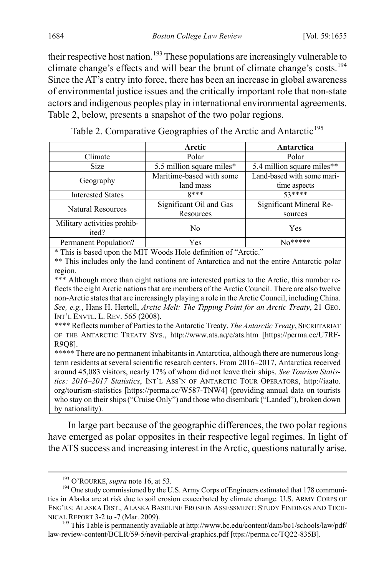their respective host nation.<sup>[193](#page-30-0)</sup> These populations are increasingly vulnerable to climate change's effects and will bear the brunt of climate change's costs.<sup>[194](#page-30-1)</sup> Since the AT's entry into force, there has been an increase in global awareness of environmental justice issues and the critically important role that non-state actors and indigenous peoples play in international environmental agreements. Table 2, below, presents a snapshot of the two polar regions.

Table 2. Comparative Geographies of the Arctic and Antarctic<sup>[195](#page-30-2)</sup>

|                             | Arctic                    | Antarctica                 |  |  |  |
|-----------------------------|---------------------------|----------------------------|--|--|--|
| Climate                     | Polar                     | Polar                      |  |  |  |
| Size                        | 5.5 million square miles* | 5.4 million square miles** |  |  |  |
| Geography                   | Maritime-based with some  | Land-based with some mari- |  |  |  |
|                             | land mass                 | time aspects               |  |  |  |
| <b>Interested States</b>    | $8***$                    | 53****                     |  |  |  |
| <b>Natural Resources</b>    | Significant Oil and Gas   | Significant Mineral Re-    |  |  |  |
|                             | Resources                 | sources                    |  |  |  |
| Military activities prohib- | No                        | Yes                        |  |  |  |
| ited?                       |                           |                            |  |  |  |
| Permanent Population?       | <b>Yes</b>                | $No*****$                  |  |  |  |
|                             |                           |                            |  |  |  |

\* This is based upon the MIT Woods Hole definition of "Arctic."

\*\* This includes only the land continent of Antarctica and not the entire Antarctic polar region.

\*\*\* Although more than eight nations are interested parties to the Arctic, this number reflects the eight Arctic nations that are members of the Arctic Council. There are also twelve non-Arctic states that are increasingly playing a role in the Arctic Council, including China. *See, e.g.*, Hans H. Hertell, *Arctic Melt: The Tipping Point for an Arctic Treaty*, 21 GEO. INT'L ENVTL. L. REV. 565 (2008).

\*\*\*\* Reflects number of Parties to the Antarctic Treaty. *The Antarctic Treaty*, SECRETARIAT OF THE ANTARCTIC TREATY SYS., http://www.ats.aq/e/ats.htm [https://perma.cc/U7RF-R9Q8].

\*\*\*\*\* There are no permanent inhabitants in Antarctica, although there are numerous longterm residents at several scientific research centers. From 2016–2017, Antarctica received around 45,083 visitors, nearly 17% of whom did not leave their ships. *See Tourism Statistics: 2016–2017 Statistics*, INT'L ASS'N OF ANTARCTIC TOUR OPERATORS, http://iaato. org/tourism-statistics [https://perma.cc/W587-TNW4] (providing annual data on tourists who stay on their ships ("Cruise Only") and those who disembark ("Landed"), broken down by nationality).

In large part because of the geographic differences, the two polar regions have emerged as polar opposites in their respective legal regimes. In light of the ATS success and increasing interest in the Arctic, questions naturally arise.

<span id="page-30-1"></span><span id="page-30-0"></span><sup>&</sup>lt;sup>193</sup> O'ROURKE, *supra* not[e 16,](#page-6-0) at 53.<br><sup>194</sup> One study commissioned by the U.S. Army Corps of Engineers estimated that 178 communities in Alaska are at risk due to soil erosion exacerbated by climate change. U.S. ARMY CORPS OF ENG'RS: ALASKA DIST., ALASKA BASELINE EROSION ASSESSMENT: STUDY FINDINGS AND TECH-

<span id="page-30-2"></span>NICAL REPORT 3-2 to -7 (Mar. 2009).<br><sup>195</sup> This Table is permanently available at http://www.bc.edu/content/dam/bc1/schools/law/pdf/ law-review-content/BCLR/59-5/nevit-percival-graphics.pdf [ttps://perma.cc/TQ22-835B].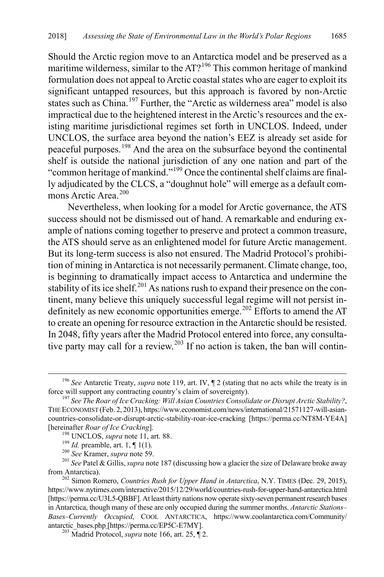<span id="page-31-8"></span>Should the Arctic region move to an Antarctica model and be preserved as a maritime wilderness, similar to the AT?<sup>[196](#page-31-0)</sup> This common heritage of mankind formulation does not appeal to Arctic coastal states who are eager to exploit its significant untapped resources, but this approach is favored by non-Arctic states such as China.<sup>[197](#page-31-1)</sup> Further, the "Arctic as wilderness area" model is also impractical due to the heightened interest in the Arctic's resources and the existing maritime jurisdictional regimes set forth in UNCLOS. Indeed, under UNCLOS, the surface area beyond the nation's EEZ is already set aside for peaceful purposes.[198](#page-31-2) And the area on the subsurface beyond the continental shelf is outside the national jurisdiction of any one nation and part of the "common heritage of mankind."[199](#page-31-3) Once the continental shelf claims are finally adjudicated by the CLCS, a "doughnut hole" will emerge as a default com-mons Arctic Area.<sup>[200](#page-31-4)</sup>

Nevertheless, when looking for a model for Arctic governance, the ATS success should not be dismissed out of hand. A remarkable and enduring example of nations coming together to preserve and protect a common treasure, the ATS should serve as an enlightened model for future Arctic management. But its long-term success is also not ensured. The Madrid Protocol's prohibition of mining in Antarctica is not necessarily permanent. Climate change, too, is beginning to dramatically impact access to Antarctica and undermine the stability of its ice shelf.<sup>[201](#page-31-5)</sup> As nations rush to expand their presence on the continent, many believe this uniquely successful legal regime will not persist in-definitely as new economic opportunities emerge.<sup>[202](#page-31-6)</sup> Efforts to amend the AT to create an opening for resource extraction in the Antarctic should be resisted. In 2048, fifty years after the Madrid Protocol entered into force, any consulta-tive party may call for a review.<sup>[203](#page-31-7)</sup> If no action is taken, the ban will contin-

<span id="page-31-0"></span> <sup>196</sup> *See* Antarctic Treaty, *supra* not[e 119,](#page-21-0) art. IV, ¶ 2 (stating that no acts while the treaty is in force will support any contracting country's claim of sovereignty). <sup>197</sup> *See The Roar of Ice Cracking: Will Asian Countries Consolidate or Disrupt Arctic Stability?*,

<span id="page-31-1"></span>THE ECONOMIST (Feb. 2, 2013), https://www.economist.com/news/international/21571127-will-asiancountries-consolidate-or-disrupt-arctic-stability-roar-ice-cracking [https://perma.cc/NT8M-YE4A]

<span id="page-31-4"></span><span id="page-31-3"></span><span id="page-31-2"></span><sup>[</sup>hereinafter *Roar of Ice Cracking*].<br><sup>198</sup> UNCLOS, *supra* not[e 11,](#page-5-2) art. 88.<br><sup>199</sup> *Id.* preamble, art. 1, ¶ 1(1).<br><sup>200</sup> *See* Kramer, *supra* not[e 59.](#page-12-0)<br><sup>201</sup> *See* Patel & Gillis, *supra* not[e 187](#page-29-8) (discussing how a glaci

<span id="page-31-6"></span><span id="page-31-5"></span>from Antarctica). <sup>202</sup> Simon Romero, *Countries Rush for Upper Hand in Antarctica*, N.Y. TIMES (Dec. 29, 2015), https://www.nytimes.com/interactive/2015/12/29/world/countries-rush-for-upper-hand-antarctica.html [https://perma.cc/U3L5-QBBF]. At least thirty nations now operate sixty-seven permanent research bases in Antarctica, though many of these are only occupied during the summer months. *Antarctic Stations*– *Bases–Currently Occupied*, COOL ANTARCTICA, https://www.coolantarctica.com/Community/ antarctic\_bases.php [https://perma.cc/EP5C-E7MY]. <sup>203</sup> Madrid Protocol, *supra* not[e 166,](#page-26-0) art. 25, ¶ 2.

<span id="page-31-7"></span>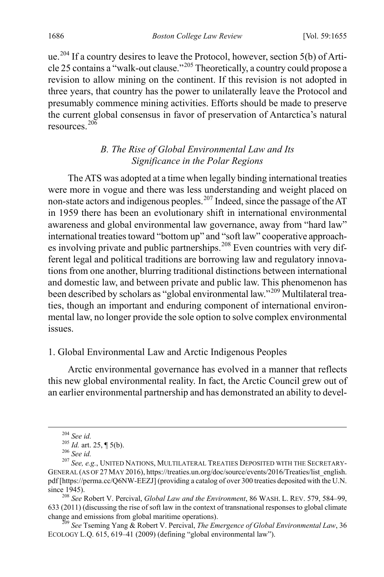ue.<sup>[204](#page-32-0)</sup> If a country desires to leave the Protocol, however, section 5(b) of Arti-cle 25 contains a "walk-out clause."<sup>[205](#page-32-1)</sup> Theoretically, a country could propose a revision to allow mining on the continent. If this revision is not adopted in three years, that country has the power to unilaterally leave the Protocol and presumably commence mining activities. Efforts should be made to preserve the current global consensus in favor of preservation of Antarctica's natural resources<sup>[206](#page-32-2)</sup>

# <span id="page-32-6"></span>*B. The Rise of Global Environmental Law and Its Significance in the Polar Regions*

The ATS was adopted at a time when legally binding international treaties were more in vogue and there was less understanding and weight placed on non-state actors and indigenous peoples.<sup>[207](#page-32-3)</sup> Indeed, since the passage of the AT in 1959 there has been an evolutionary shift in international environmental awareness and global environmental law governance, away from "hard law" international treaties toward "bottom up" and "soft law" cooperative approach-es involving private and public partnerships.<sup>[208](#page-32-4)</sup> Even countries with very different legal and political traditions are borrowing law and regulatory innovations from one another, blurring traditional distinctions between international and domestic law, and between private and public law. This phenomenon has been described by scholars as "global environmental law."<sup>[209](#page-32-5)</sup> Multilateral treaties, though an important and enduring component of international environmental law, no longer provide the sole option to solve complex environmental issues.

#### 1. Global Environmental Law and Arctic Indigenous Peoples

Arctic environmental governance has evolved in a manner that reflects this new global environmental reality. In fact, the Arctic Council grew out of an earlier environmental partnership and has demonstrated an ability to devel-

<span id="page-32-3"></span><span id="page-32-2"></span><span id="page-32-1"></span><span id="page-32-0"></span><sup>&</sup>lt;sup>204</sup> *See id.*<br><sup>205</sup> *Id.* art. 25, ¶ 5(b).<br><sup>206</sup> *See id.* 207 *See, e.g.*, UNITED NATIONS, MULTILATERAL TREATIES DEPOSITED WITH THE SECRETARY-GENERAL (AS OF 27 MAY 2016), https://treaties.un.org/doc/source/events/2016/Treaties/list\_english. pdf [https://perma.cc/Q6NW-EEZJ] (providing a catalog of over 300 treaties deposited with the U.N. since 1945). <sup>208</sup> *See* Robert V. Percival, *Global Law and the Environment*, 86 WASH. L. REV. 579, 584–99,

<span id="page-32-4"></span><sup>633 (2011) (</sup>discussing the rise of soft law in the context of transnational responses to global climate change and emissions from global maritime operations). <sup>209</sup> *See* Tseming Yang & Robert V. Percival, *The Emergence of Global Environmental Law*, 36

<span id="page-32-5"></span>ECOLOGY L.Q. 615, 619–41 (2009) (defining "global environmental law").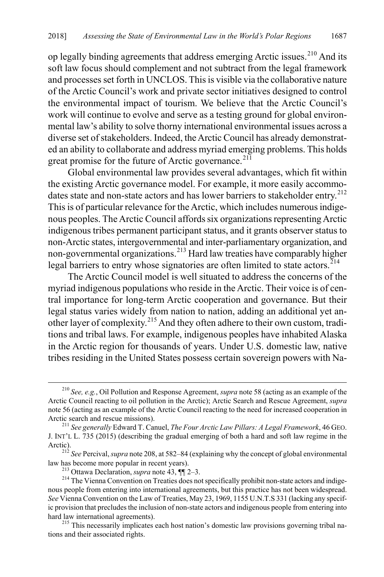op legally binding agreements that address emerging Arctic issues.<sup>[210](#page-33-0)</sup> And its soft law focus should complement and not subtract from the legal framework and processes set forth in UNCLOS. This is visible via the collaborative nature of the Arctic Council's work and private sector initiatives designed to control the environmental impact of tourism. We believe that the Arctic Council's work will continue to evolve and serve as a testing ground for global environmental law's ability to solve thorny international environmental issues across a diverse set of stakeholders. Indeed, the Arctic Council has already demonstrated an ability to collaborate and address myriad emerging problems. This holds great promise for the future of Arctic governance. $21\overline{1}$ 

<span id="page-33-6"></span>Global environmental law provides several advantages, which fit within the existing Arctic governance model. For example, it more easily accommo-dates state and non-state actors and has lower barriers to stakeholder entry.<sup>[212](#page-33-2)</sup> This is of particular relevance for the Arctic, which includes numerous indigenous peoples. The Arctic Council affords six organizations representing Arctic indigenous tribes permanent participant status, and it grants observer status to non-Arctic states, intergovernmental and inter-parliamentary organization, and non-governmental organizations.[213](#page-33-3) Hard law treaties have comparably higher legal barriers to entry whose signatories are often limited to state actors.<sup> $214$ </sup>

The Arctic Council model is well situated to address the concerns of the myriad indigenous populations who reside in the Arctic. Their voice is of central importance for long-term Arctic cooperation and governance. But their legal status varies widely from nation to nation, adding an additional yet another layer of complexity.[215](#page-33-5) And they often adhere to their own custom, traditions and tribal laws. For example, indigenous peoples have inhabited Alaska in the Arctic region for thousands of years. Under U.S. domestic law, native tribes residing in the United States possess certain sovereign powers with Na-

<span id="page-33-0"></span> <sup>210</sup> *See, e.g.*, Oil Pollution and Response Agreement, *supra* not[e 58](#page-12-6) (acting as an example of the Arctic Council reacting to oil pollution in the Arctic); Arctic Search and Rescue Agreement, *supra*  not[e 56](#page-11-8) (acting as an example of the Arctic Council reacting to the need for increased cooperation in Arctic search and rescue missions).

<span id="page-33-1"></span><sup>&</sup>lt;sup>211</sup> See generally Edward T. Canuel, *The Four Arctic Law Pillars: A Legal Framework*, 46 GEO. J. INT'L L. 735 (2015) (describing the gradual emerging of both a hard and soft law regime in the

<span id="page-33-2"></span><sup>&</sup>lt;sup>212</sup> *See* Percival, *supra* not[e 208,](#page-32-6) at 582–84 (explaining why the concept of global environmental law has become more popular in recent years).

<span id="page-33-4"></span><span id="page-33-3"></span><sup>&</sup>lt;sup>213</sup> Ottawa Declaration, *supra* note [43,](#page-10-1) ¶¶ 2–3.<br><sup>214</sup> The Vienna Convention on Treaties does not specifically prohibit non-state actors and indigenous people from entering into international agreements, but this practice has not been widespread. *See* Vienna Convention on the Law of Treaties, May 23, 1969, 1155 U.N.T.S 331 (lacking any specific provision that precludes the inclusion of non-state actors and indigenous people from entering into hard law international agreements).<br><sup>215</sup> This necessarily implicates each host nation's domestic law provisions governing tribal na-

<span id="page-33-5"></span>tions and their associated rights.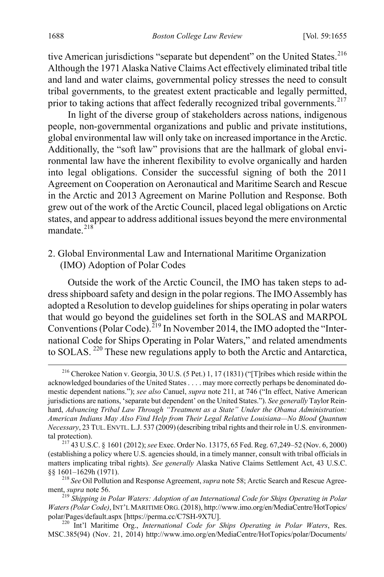tive American jurisdictions "separate but dependent" on the United States.<sup>[216](#page-34-0)</sup> Although the 1971 Alaska Native Claims Act effectively eliminated tribal title and land and water claims, governmental policy stresses the need to consult tribal governments, to the greatest extent practicable and legally permitted, prior to taking actions that affect federally recognized tribal governments.<sup>[217](#page-34-1)</sup>

In light of the diverse group of stakeholders across nations, indigenous people, non-governmental organizations and public and private institutions, global environmental law will only take on increased importance in the Arctic. Additionally, the "soft law" provisions that are the hallmark of global environmental law have the inherent flexibility to evolve organically and harden into legal obligations. Consider the successful signing of both the 2011 Agreement on Cooperation on Aeronautical and Maritime Search and Rescue in the Arctic and 2013 Agreement on Marine Pollution and Response. Both grew out of the work of the Arctic Council, placed legal obligations on Arctic states, and appear to address additional issues beyond the mere environmental mandate.<sup>[218](#page-34-2)</sup>

2. Global Environmental Law and International Maritime Organization (IMO) Adoption of Polar Codes

Outside the work of the Arctic Council, the IMO has taken steps to address shipboard safety and design in the polar regions. The IMO Assembly has adopted a Resolution to develop guidelines for ships operating in polar waters that would go beyond the guidelines set forth in the SOLAS and MARPOL Conventions (Polar Code).[219](#page-34-3) In November 2014, the IMO adopted the "International Code for Ships Operating in Polar Waters," and related amendments to SOLAS. [220](#page-34-4) These new regulations apply to both the Arctic and Antarctica,

<span id="page-34-5"></span><span id="page-34-0"></span> <sup>216</sup> Cherokee Nation v. Georgia, 30 U.S. (5 Pet.) 1, 17 (1831) ("[T]ribes which reside within the acknowledged boundaries of the United States . . . . may more correctly perhaps be denominated domestic dependent nations."); *see also* Canuel, *supra* note [211,](#page-33-6) at 746 ("In effect, Native American jurisdictions are nations, 'separate but dependent' on the United States."). *See generally* Taylor Reinhard, *Advancing Tribal Law Through "Treatment as a State" Under the Obama Administration: American Indians May Also Find Help from Their Legal Relative Louisiana—No Blood Quantum Necessary*, 23 TUL.ENVTL.L.J. 537 (2009) (describing tribal rights and their role in U.S. environmental protection). <sup>217</sup> 43 U.S.C. § 1601 (2012); *see* Exec. Order No. 13175, 65 Fed. Reg. 67,249–52 (Nov. 6, 2000)

<span id="page-34-1"></span><sup>(</sup>establishing a policy where U.S. agencies should, in a timely manner, consult with tribal officials in matters implicating tribal rights). *See generally* Alaska Native Claims Settlement Act, 43 U.S.C.

<span id="page-34-2"></span><sup>§§ 1601–1629</sup>h (1971).<br><sup>218</sup> *See* Oil Pollution and Response Agreement, *supra* not[e 58;](#page-12-6) Arctic Search and Rescue Agreement, *supra* note 56.

<span id="page-34-3"></span>ment, *supra* not[e 56.](#page-11-8) 219 *Shipping in Polar Waters: Adoption of an International Code for Ships Operating in Polar Waters (Polar Code)*, INT'L MARITIME ORG.(2018), http://www.imo.org/en/MediaCentre/HotTopics/ polar/Pages/default.aspx [https://perma.cc/C7SH-9X7U]. <sup>220</sup> Int'l Maritime Org., *International Code for Ships Operating in Polar Waters*, Res.

<span id="page-34-4"></span>MSC.385(94) (Nov. 21, 2014) http://www.imo.org/en/MediaCentre/HotTopics/polar/Documents/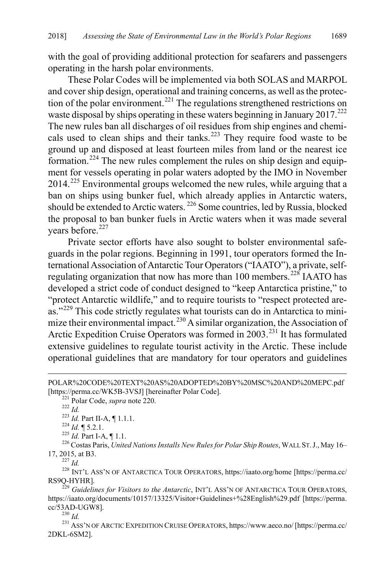with the goal of providing additional protection for seafarers and passengers operating in the harsh polar environments.

These Polar Codes will be implemented via both SOLAS and MARPOL and cover ship design, operational and training concerns, as well as the protec-tion of the polar environment.<sup>[221](#page-35-0)</sup> The regulations strengthened restrictions on waste disposal by ships operating in these waters beginning in January 2017.<sup>[222](#page-35-1)</sup> The new rules ban all discharges of oil residues from ship engines and chemi-cals used to clean ships and their tanks.<sup>[223](#page-35-2)</sup> They require food waste to be ground up and disposed at least fourteen miles from land or the nearest ice formation.<sup>[224](#page-35-3)</sup> The new rules complement the rules on ship design and equipment for vessels operating in polar waters adopted by the IMO in November 2014.[225](#page-35-4) Environmental groups welcomed the new rules, while arguing that a ban on ships using bunker fuel, which already applies in Antarctic waters, should be extended to Arctic waters. [226](#page-35-5) Some countries, led by Russia, blocked the proposal to ban bunker fuels in Arctic waters when it was made several years before.<sup>[227](#page-35-6)</sup>

Private sector efforts have also sought to bolster environmental safeguards in the polar regions. Beginning in 1991, tour operators formed the International Association of Antarctic Tour Operators ("IAATO"), a private, self-regulating organization that now has more than 100 members.<sup>[228](#page-35-7)</sup> IAATO has developed a strict code of conduct designed to "keep Antarctica pristine," to "protect Antarctic wildlife," and to require tourists to "respect protected are-as."<sup>[229](#page-35-8)</sup> This code strictly regulates what tourists can do in Antarctica to mini-mize their environmental impact.<sup>[230](#page-35-9)</sup> A similar organization, the Association of Arctic Expedition Cruise Operators was formed in 2003.<sup>[231](#page-35-10)</sup> It has formulated extensive guidelines to regulate tourist activity in the Arctic. These include operational guidelines that are mandatory for tour operators and guidelines

 $\overline{a}$ 

<span id="page-35-7"></span><span id="page-35-6"></span><span id="page-35-5"></span><span id="page-35-4"></span><span id="page-35-3"></span><sup>227</sup> *Id.* 228 INT'L ASS'N OF ANTARCTICA TOUR OPERATORS, https://iaato.org/home [https://perma.cc/ RS9Q-HYHR].

POLAR%20CODE%20TEXT%20AS%20ADOPTED%20BY%20MSC%20AND%20MEPC.pdf

<span id="page-35-2"></span><span id="page-35-1"></span><span id="page-35-0"></span><sup>[</sup>https://perma.cc/WK5B-3VSJ] [hereinafter Polar Code].<br>
<sup>221</sup> Polar Code, *supra* not[e 220.](#page-34-5)<br>
<sup>222</sup> Id.<br>
<sup>223</sup> Id. Part II-A, ¶ 1.1.1.<br>
<sup>224</sup> Id. ¶ 5.2.1.<br>
<sup>225</sup> Id. Part I-A, ¶ 1.1.<br>
<sup>226</sup> Costas Paris, *United Nations In* 

<span id="page-35-8"></span><sup>&</sup>lt;sup>229</sup> *Guidelines for Visitors to the Antarctic*, INT'L ASS'N OF ANTARCTICA TOUR OPERATORS, https://iaato.org/documents/10157/13325/Visitor+Guidelines+%28English%29.pdf [https://perma. cc/53AD-UGW8].<br><sup>230</sup> *Id.* 231 Ass'N OF ARCTIC EXPEDITION CRUISE OPERATORS, https://www.aeco.no/ [https://perma.cc/

<span id="page-35-10"></span><span id="page-35-9"></span><sup>2</sup>DKL-6SM2].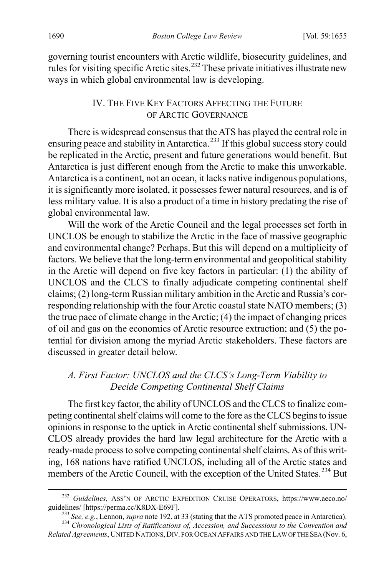governing tourist encounters with Arctic wildlife, biosecurity guidelines, and rules for visiting specific Arctic sites.<sup>[232](#page-36-2)</sup> These private initiatives illustrate new ways in which global environmental law is developing.

#### <span id="page-36-1"></span><span id="page-36-0"></span>IV. THE FIVE KEY FACTORS AFFECTING THE FUTURE OF ARCTIC GOVERNANCE

There is widespread consensus that the ATS has played the central role in ensuring peace and stability in Antarctica.<sup>[233](#page-36-3)</sup> If this global success story could be replicated in the Arctic, present and future generations would benefit. But Antarctica is just different enough from the Arctic to make this unworkable. Antarctica is a continent, not an ocean, it lacks native indigenous populations, it is significantly more isolated, it possesses fewer natural resources, and is of less military value. It is also a product of a time in history predating the rise of global environmental law.

Will the work of the Arctic Council and the legal processes set forth in UNCLOS be enough to stabilize the Arctic in the face of massive geographic and environmental change? Perhaps. But this will depend on a multiplicity of factors. We believe that the long-term environmental and geopolitical stability in the Arctic will depend on five key factors in particular: (1) the ability of UNCLOS and the CLCS to finally adjudicate competing continental shelf claims; (2) long-term Russian military ambition in the Arctic and Russia's corresponding relationship with the four Arctic coastal state NATO members; (3) the true pace of climate change in the Arctic; (4) the impact of changing prices of oil and gas on the economics of Arctic resource extraction; and (5) the potential for division among the myriad Arctic stakeholders. These factors are discussed in greater detail below.

# *A. First Factor: UNCLOS and the CLCS's Long-Term Viability to Decide Competing Continental Shelf Claims*

The first key factor, the ability of UNCLOS and the CLCS to finalize competing continental shelf claims will come to the fore as the CLCS begins to issue opinions in response to the uptick in Arctic continental shelf submissions. UN-CLOS already provides the hard law legal architecture for the Arctic with a ready-made process to solve competing continental shelf claims. As of this writing, 168 nations have ratified UNCLOS, including all of the Arctic states and members of the Arctic Council, with the exception of the United States.<sup>[234](#page-36-4)</sup> But

<span id="page-36-2"></span><sup>&</sup>lt;sup>232</sup> *Guidelines*, ASS'N OF ARCTIC EXPEDITION CRUISE OPERATORS, https://www.aeco.no/guidelines/ [https://perma.cc/K8DX-E69F].

<sup>&</sup>lt;sup>233</sup> See, e.g., Lennon, *supra* not[e 192,](#page-29-9) at 33 (stating that the ATS promoted peace in Antarctica).<br><sup>234</sup> Chronological Lists of Ratifications of, *Accession*, and Successions to the Convention and

<span id="page-36-4"></span><span id="page-36-3"></span>*Related Agreements*, UNITED NATIONS,DIV. FOR OCEAN AFFAIRS AND THE LAW OF THE SEA (Nov. 6,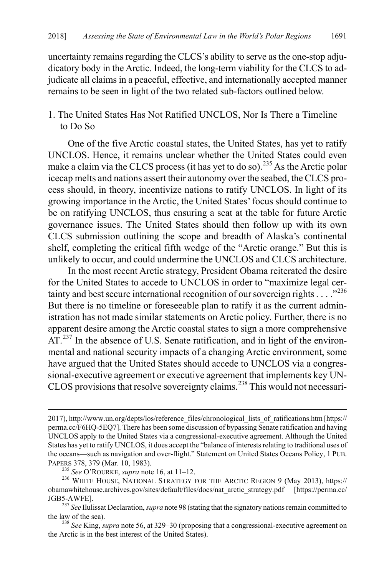uncertainty remains regarding the CLCS's ability to serve as the one-stop adjudicatory body in the Arctic. Indeed, the long-term viability for the CLCS to adjudicate all claims in a peaceful, effective, and internationally accepted manner remains to be seen in light of the two related sub-factors outlined below.

#### 1. The United States Has Not Ratified UNCLOS, Nor Is There a Timeline to Do So

One of the five Arctic coastal states, the United States, has yet to ratify UNCLOS. Hence, it remains unclear whether the United States could even make a claim via the CLCS process (it has yet to do so).<sup>[235](#page-37-0)</sup> As the Arctic polar icecap melts and nations assert their autonomy over the seabed, the CLCS process should, in theory, incentivize nations to ratify UNCLOS. In light of its growing importance in the Arctic, the United States' focus should continue to be on ratifying UNCLOS, thus ensuring a seat at the table for future Arctic governance issues. The United States should then follow up with its own CLCS submission outlining the scope and breadth of Alaska's continental shelf, completing the critical fifth wedge of the "Arctic orange." But this is unlikely to occur, and could undermine the UNCLOS and CLCS architecture.

<span id="page-37-4"></span>In the most recent Arctic strategy, President Obama reiterated the desire for the United States to accede to UNCLOS in order to "maximize legal cer-tainty and best secure international recognition of our sovereign rights . . . .<sup>2[236](#page-37-1)</sup> But there is no timeline or foreseeable plan to ratify it as the current administration has not made similar statements on Arctic policy. Further, there is no apparent desire among the Arctic coastal states to sign a more comprehensive AT.<sup>[237](#page-37-2)</sup> In the absence of U.S. Senate ratification, and in light of the environmental and national security impacts of a changing Arctic environment, some have argued that the United States should accede to UNCLOS via a congressional-executive agreement or executive agreement that implements key UN-CLOS provisions that resolve sovereignty claims.<sup>[238](#page-37-3)</sup> This would not necessari-

 $\overline{a}$ 

<sup>2017),</sup> http://www.un.org/depts/los/reference\_files/chronological\_lists\_of\_ratifications.htm [https:// perma.cc/F6HQ-5EQ7]. There has been some discussion of bypassing Senate ratification and having UNCLOS apply to the United States via a congressional-executive agreement. Although the United States has yet to ratify UNCLOS, it does accept the "balance of interests relating to traditional uses of the oceans—such as navigation and over-flight." Statement on United States Oceans Policy, 1 PUB.<br>PAPERS 378, 379 (Mar. 10, 1983).

<span id="page-37-1"></span><span id="page-37-0"></span><sup>&</sup>lt;sup>235</sup> See O'ROURKE, *supra* not[e 16,](#page-6-0) at 11–12.<br><sup>236</sup> WHITE HOUSE, NATIONAL STRATEGY FOR THE ARCTIC REGION 9 (May 2013), https:// obamawhitehouse.archives.gov/sites/default/files/docs/nat\_arctic\_strategy.pdf [https://perma.cc/

<span id="page-37-2"></span>JGB5-AWFE]. <sup>237</sup> *See* Ilulissat Declaration, *supra* not[e 98](#page-18-2) (stating that the signatory nations remain committed to

<span id="page-37-3"></span><sup>&</sup>lt;sup>238</sup> *See King, supra* note [56,](#page-11-8) at 329–30 (proposing that a congressional-executive agreement on the Arctic is in the best interest of the United States).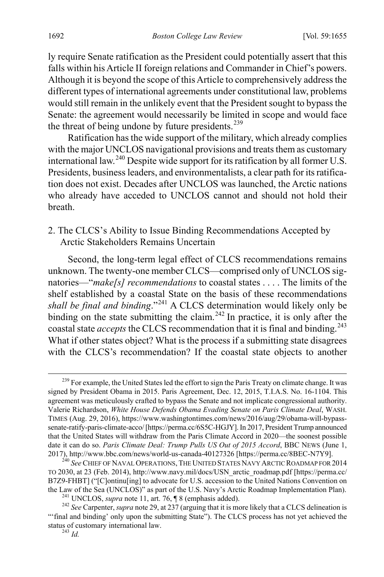ly require Senate ratification as the President could potentially assert that this falls within his Article II foreign relations and Commander in Chief's powers. Although it is beyond the scope of this Article to comprehensively address the different types of international agreements under constitutional law, problems would still remain in the unlikely event that the President sought to bypass the Senate: the agreement would necessarily be limited in scope and would face the threat of being undone by future presidents.<sup>[239](#page-38-0)</sup>

Ratification has the wide support of the military, which already complies with the major UNCLOS navigational provisions and treats them as customary international law.[240](#page-38-1) Despite wide support for its ratification by all former U.S. Presidents, business leaders, and environmentalists, a clear path for its ratification does not exist. Decades after UNCLOS was launched, the Arctic nations who already have acceded to UNCLOS cannot and should not hold their breath.

#### 2. The CLCS's Ability to Issue Binding Recommendations Accepted by Arctic Stakeholders Remains Uncertain

Second, the long-term legal effect of CLCS recommendations remains unknown. The twenty-one member CLCS—comprised only of UNCLOS signatories—"*make[s] recommendations* to coastal states . . . . The limits of the shelf established by a coastal State on the basis of these recommendations *shall be final and binding*."[241](#page-38-2) A CLCS determination would likely only be binding on the state submitting the claim.<sup>[242](#page-38-3)</sup> In practice, it is only after the coastal state *accepts* the CLCS recommendation that it is final and binding.<sup>[243](#page-38-4)</sup> What if other states object? What is the process if a submitting state disagrees with the CLCS's recommendation? If the coastal state objects to another

<span id="page-38-0"></span><sup>&</sup>lt;sup>239</sup> For example, the United States led the effort to sign the Paris Treaty on climate change. It was signed by President Obama in 2015. Paris Agreement, Dec. 12, 2015, T.I.A.S. No. 16-1104. This agreement was meticulously crafted to bypass the Senate and not implicate congressional authority. Valerie Richardson, *White House Defends Obama Evading Senate on Paris Climate Deal*, WASH. TIMES (Aug. 29, 2016), https://www.washingtontimes.com/news/2016/aug/29/obama-will-bypasssenate-ratify-paris-climate-acco/ [https://perma.cc/6S5C-HGJY]. In 2017, President Trump announced that the United States will withdraw from the Paris Climate Accord in 2020—the soonest possible date it can do so. *Paris Climate Deal: Trump Pulls US Out of 2015 Accord*, BBC NEWS (June 1, 2017), http://www.bbc.com/news/world-us-canada-40127326 [https://perma.cc/8BEC-N7Y9].

<span id="page-38-1"></span><sup>&</sup>lt;sup>240</sup> See Chief of Naval Operations, The United States Navy Arctic Roadmap for 2014 TO 2030, at 23 (Feb. 2014), http://www.navy.mil/docs/USN\_arctic\_roadmap.pdf [https://perma.cc/ B7Z9-FHBT] ("[C]ontinu[ing] to advocate for U.S. accession to the United Nations Convention on the Law of the Sea (UNCLOS)" as part of the U.S. Navy's Arctic Roadmap Implementation Plan).

<span id="page-38-4"></span><span id="page-38-3"></span><span id="page-38-2"></span><sup>&</sup>lt;sup>241</sup> UNCLOS, *supra* not[e 11,](#page-5-2) art. 76,  $\parallel$  8 (emphasis added).<br><sup>242</sup> See Carpenter, *supra* not[e 29,](#page-7-10) at 237 (arguing that it is more likely that a CLCS delineation is "'final and binding' only upon the submitting State"). The CLCS process has not yet achieved the status of customary international law. <sup>243</sup> *Id.*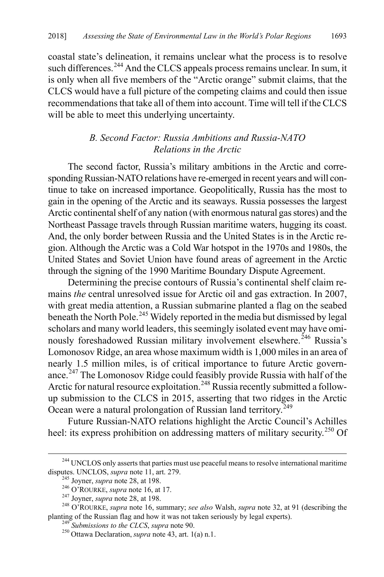coastal state's delineation, it remains unclear what the process is to resolve such differences.<sup>[244](#page-39-0)</sup> And the CLCS appeals process remains unclear. In sum, it is only when all five members of the "Arctic orange" submit claims, that the CLCS would have a full picture of the competing claims and could then issue recommendations that take all of them into account. Time will tell if the CLCS will be able to meet this underlying uncertainty.

#### *B. Second Factor: Russia Ambitions and Russia-NATO Relations in the Arctic*

The second factor, Russia's military ambitions in the Arctic and corresponding Russian-NATO relations have re-emerged in recent years and will continue to take on increased importance. Geopolitically, Russia has the most to gain in the opening of the Arctic and its seaways. Russia possesses the largest Arctic continental shelf of any nation (with enormous natural gas stores) and the Northeast Passage travels through Russian maritime waters, hugging its coast. And, the only border between Russia and the United States is in the Arctic region. Although the Arctic was a Cold War hotspot in the 1970s and 1980s, the United States and Soviet Union have found areas of agreement in the Arctic through the signing of the 1990 Maritime Boundary Dispute Agreement.

Determining the precise contours of Russia's continental shelf claim remains *the* central unresolved issue for Arctic oil and gas extraction. In 2007, with great media attention, a Russian submarine planted a flag on the seabed beneath the North Pole.<sup>[245](#page-39-1)</sup> Widely reported in the media but dismissed by legal scholars and many world leaders, this seemingly isolated event may have omi-nously foreshadowed Russian military involvement elsewhere.<sup>[246](#page-39-2)</sup> Russia's Lomonosov Ridge, an area whose maximum width is 1,000 miles in an area of nearly 1.5 million miles, is of critical importance to future Arctic govern-ance.<sup>[247](#page-39-3)</sup> The Lomonosov Ridge could feasibly provide Russia with half of the Arctic for natural resource exploitation.<sup>[248](#page-39-4)</sup> Russia recently submitted a followup submission to the CLCS in 2015, asserting that two ridges in the Arctic Ocean were a natural prolongation of Russian land territory.<sup>[249](#page-39-5)</sup>

Future Russian-NATO relations highlight the Arctic Council's Achilles heel: its express prohibition on addressing matters of military security.<sup>[250](#page-39-6)</sup> Of

<span id="page-39-0"></span><sup>&</sup>lt;sup>244</sup> UNCLOS only asserts that parties must use peaceful means to resolve international maritime disputes. UNCLOS, *supra* note 11, art. 279.

<span id="page-39-4"></span><span id="page-39-3"></span><span id="page-39-2"></span><span id="page-39-1"></span><sup>&</sup>lt;sup>245</sup> Joyner, *supra* not[e 28,](#page-7-11) at 198.<br><sup>246</sup> O'ROURKE, *supra* not[e 16,](#page-6-0) at 17.<br><sup>247</sup> Joyner, *supra* note 28, at 198.<br><sup>248</sup> O'ROURKE, *supra* note 16, summary; *see also* Walsh, *supra* note [32,](#page-8-6) at 91 (describing the planting of the Russian flag and how it was not taken seriously by legal experts). <sup>249</sup> *Submissions to the CLCS*, *supra* not[e 90.](#page-17-0) 250 Ottawa Declaration, *supra* not[e 43,](#page-10-1) art. 1(a) n.1.

<span id="page-39-6"></span><span id="page-39-5"></span>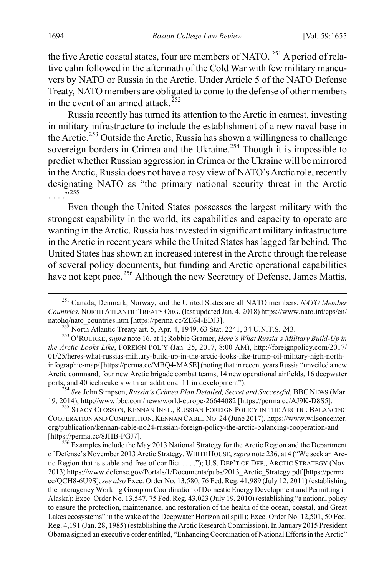<span id="page-40-7"></span>the five Arctic coastal states, four are members of NATO.<sup>[251](#page-40-0)</sup> A period of relative calm followed in the aftermath of the Cold War with few military maneuvers by NATO or Russia in the Arctic. Under Article 5 of the NATO Defense Treaty, NATO members are obligated to come to the defense of other members in the event of an armed attack.<sup>[252](#page-40-1)</sup>

<span id="page-40-6"></span>Russia recently has turned its attention to the Arctic in earnest, investing in military infrastructure to include the establishment of a new naval base in the Arctic.<sup>[253](#page-40-2)</sup> Outside the Arctic, Russia has shown a willingness to challenge sovereign borders in Crimea and the Ukraine.<sup>[254](#page-40-3)</sup> Though it is impossible to predict whether Russian aggression in Crimea or the Ukraine will be mirrored in the Arctic, Russia does not have a rosy view of NATO's Arctic role, recently designating NATO as "the primary national security threat in the Arctic . . . ."[255](#page-40-4)

Even though the United States possesses the largest military with the strongest capability in the world, its capabilities and capacity to operate are wanting in the Arctic. Russia has invested in significant military infrastructure in the Arctic in recent years while the United States has lagged far behind. The United States has shown an increased interest in the Arctic through the release of several policy documents, but funding and Arctic operational capabilities have not kept pace.<sup>[256](#page-40-5)</sup> Although the new Secretary of Defense, James Mattis,

<span id="page-40-3"></span>ports, and 40 icebreakers with an additional 11 in development").<br><sup>254</sup> *See John Simpson, Russia's Crimea Plan Detailed, Secret and Successful, BBC NEWS (Mar.*<br>19, 2014), http://www.bbc.com/news/world-europe-26644082 [htt

<span id="page-40-4"></span><sup>255</sup> STACY CLOSSON, KENNAN INST., RUSSIAN FOREIGN POLICY IN THE ARCTIC: BALANCING COOPERATION AND COMPETITION, KENNAN CABLE NO. 24 (June 2017), https://www.wilsoncenter. org/publication/kennan-cable-no24-russian-foreign-policy-the-arctic-balancing-cooperation-and [https://perma.cc/8JHB-PGJ7]. <sup>256</sup> Examples include the May 2013 National Strategy for the Arctic Region and the Department

<span id="page-40-5"></span>of Defense's November 2013 Arctic Strategy. WHITE HOUSE,*supra* not[e 236,](#page-37-4) at 4 ("We seek an Arctic Region that is stable and free of conflict . . . ."); U.S. DEP'T OF DEF., ARCTIC STRATEGY (Nov. 2013) https://www.defense.gov/Portals/1/Documents/pubs/2013\_Arctic\_Strategy.pdf [https://perma. cc/QCH8-6U9S];*see also* Exec. Order No. 13,580, 76 Fed. Reg. 41,989 (July 12, 2011) (establishing the Interagency Working Group on Coordination of Domestic Energy Development and Permitting in Alaska); Exec. Order No. 13,547, 75 Fed. Reg. 43,023 (July 19, 2010) (establishing "a national policy to ensure the protection, maintenance, and restoration of the health of the ocean, coastal, and Great Lakes ecosystems" in the wake of the Deepwater Horizon oil spill); Exec. Order No. 12,501, 50 Fed. Reg. 4,191 (Jan. 28, 1985) (establishing the Arctic Research Commission). In January 2015 President Obama signed an executive order entitled, "Enhancing Coordination of National Efforts in the Arctic"

<span id="page-40-0"></span> <sup>251</sup> Canada, Denmark, Norway, and the United States are all NATO members. *NATO Member Countries*, NORTH ATLANTIC TREATY ORG. (last updated Jan. 4, 2018) https://www.nato.int/cps/en/

<span id="page-40-2"></span><span id="page-40-1"></span><sup>&</sup>lt;sup>252</sup> North Atlantic Treaty art. 5, Apr. 4, 1949, 63 Stat. 2241, 34 U.N.T.S. 243.<br><sup>253</sup> O'ROURKE, *supra* not[e 16,](#page-6-0) at 1; Robbie Gramer, *Here's What Russia's Military Build-Up in the Arctic Looks Like*, FOREIGN POL'Y (Jan. 25, 2017, 8:00 AM), http://foreignpolicy.com/2017/ 01/25/heres-what-russias-military-build-up-in-the-arctic-looks-like-trump-oil-military-high-northinfographic-map/ [https://perma.cc/MBQ4-MA5E] (noting that in recent years Russia "unveiled a new Arctic command, four new Arctic brigade combat teams, 14 new operational airfields, 16 deepwater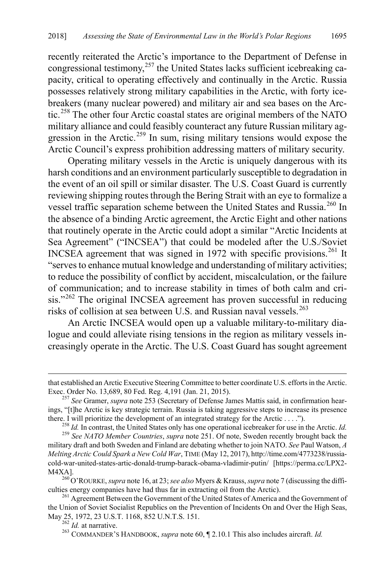recently reiterated the Arctic's importance to the Department of Defense in congressional testimony,<sup>[257](#page-41-0)</sup> the United States lacks sufficient icebreaking capacity, critical to operating effectively and continually in the Arctic. Russia possesses relatively strong military capabilities in the Arctic, with forty icebreakers (many nuclear powered) and military air and sea bases on the Arctic.[258](#page-41-1) The other four Arctic coastal states are original members of the NATO military alliance and could feasibly counteract any future Russian military ag-gression in the Arctic.<sup>[259](#page-41-2)</sup> In sum, rising military tensions would expose the Arctic Council's express prohibition addressing matters of military security.

Operating military vessels in the Arctic is uniquely dangerous with its harsh conditions and an environment particularly susceptible to degradation in the event of an oil spill or similar disaster. The U.S. Coast Guard is currently reviewing shipping routes through the Bering Strait with an eye to formalize a vessel traffic separation scheme between the United States and Russia.<sup>[260](#page-41-3)</sup> In the absence of a binding Arctic agreement, the Arctic Eight and other nations that routinely operate in the Arctic could adopt a similar "Arctic Incidents at Sea Agreement" ("INCSEA") that could be modeled after the U.S./Soviet INCSEA agreement that was signed in 1972 with specific provisions.<sup>[261](#page-41-4)</sup> It "serves to enhance mutual knowledge and understanding of military activities; to reduce the possibility of conflict by accident, miscalculation, or the failure of communication; and to increase stability in times of both calm and cri-sis."<sup>[262](#page-41-5)</sup> The original INCSEA agreement has proven successful in reducing risks of collision at sea between U.S. and Russian naval vessels.<sup>[263](#page-41-6)</sup>

An Arctic INCSEA would open up a valuable military-to-military dialogue and could alleviate rising tensions in the region as military vessels increasingly operate in the Arctic. The U.S. Coast Guard has sought agreement

 $\overline{a}$ 

that established an Arctic Executive Steering Committee to better coordinate U.S. efforts in the Arctic. Exec. Order No. 13,689, 80 Fed. Reg. 4,191 (Jan. 21, 2015). <sup>257</sup> *See* Gramer, *supra* not[e 253](#page-40-6) (Secretary of Defense James Mattis said, in confirmation hear-

<span id="page-41-0"></span>ings, "[t]he Arctic is key strategic terrain. Russia is taking aggressive steps to increase its presence there. I will prioritize the development of an integrated strategy for the Arctic . . . .").<br><sup>258</sup> *Id*. In contrast, the United States only has one operational icebreaker for use in the Arctic. *Id*.<br><sup>259</sup> *See NATO Memb* 

<span id="page-41-2"></span><span id="page-41-1"></span>military draft and both Sweden and Finland are debating whether to join NATO. *See* Paul Watson, *A Melting Arctic Could Spark a New Cold War*, TIME (May 12, 2017), http://time.com/4773238/russiacold-war-united-states-artic-donald-trump-barack-obama-vladimir-putin/ [https://perma.cc/LPX2-

<span id="page-41-3"></span>M4XA].<br><sup>260</sup> O'ROURKE, *supra* not[e 16,](#page-6-0) at 23; *see also* Myers & Krauss, *supra* not[e 7](#page-4-5) (discussing the diffi-<br>culties energy companies have had thus far in extracting oil from the Arctic).

<span id="page-41-6"></span><span id="page-41-5"></span><span id="page-41-4"></span><sup>&</sup>lt;sup>261</sup> Agreement Between the Government of the United States of America and the Government of the Union of Soviet Socialist Republics on the Prevention of Incidents On and Over the High Seas, May 25, 1972, 23 U.S.T. 1168, 852 U.N.T.S. 151.<br><sup>262</sup> *Id.* at narrative.<br><sup>263</sup> COMMANDER'S HANDBOOK, *supra* note 60, ¶ 2.10.1 This also includes aircraft. *Id.*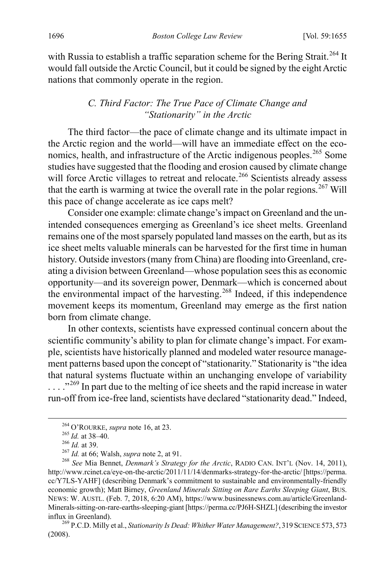with Russia to establish a traffic separation scheme for the Bering Strait.<sup>[264](#page-42-0)</sup> It would fall outside the Arctic Council, but it could be signed by the eight Arctic nations that commonly operate in the region.

#### *C. Third Factor: The True Pace of Climate Change and "Stationarity" in the Arctic*

The third factor—the pace of climate change and its ultimate impact in the Arctic region and the world—will have an immediate effect on the eco-nomics, health, and infrastructure of the Arctic indigenous peoples.<sup>[265](#page-42-1)</sup> Some studies have suggested that the flooding and erosion caused by climate change will force Arctic villages to retreat and relocate.<sup>[266](#page-42-2)</sup> Scientists already assess that the earth is warming at twice the overall rate in the polar regions. [267](#page-42-3) Will this pace of change accelerate as ice caps melt?

Consider one example: climate change's impact on Greenland and the unintended consequences emerging as Greenland's ice sheet melts. Greenland remains one of the most sparsely populated land masses on the earth, but as its ice sheet melts valuable minerals can be harvested for the first time in human history. Outside investors (many from China) are flooding into Greenland, creating a division between Greenland—whose population sees this as economic opportunity—and its sovereign power, Denmark—which is concerned about the environmental impact of the harvesting.<sup>[268](#page-42-4)</sup> Indeed, if this independence movement keeps its momentum, Greenland may emerge as the first nation born from climate change.

In other contexts, scientists have expressed continual concern about the scientific community's ability to plan for climate change's impact. For example, scientists have historically planned and modeled water resource management patterns based upon the concept of "stationarity." Stationarity is "the idea that natural systems fluctuate within an unchanging envelope of variability . . . ."[269](#page-42-5) In part due to the melting of ice sheets and the rapid increase in water run-off from ice-free land, scientists have declared "stationarity dead." Indeed,

<span id="page-42-5"></span>(2008).

<span id="page-42-4"></span><span id="page-42-3"></span><span id="page-42-2"></span><span id="page-42-1"></span><span id="page-42-0"></span><sup>&</sup>lt;sup>264</sup> O'ROURKE, *supra* not[e 16,](#page-6-0) at 23.<br><sup>265</sup> *Id.* at 38–40.<br><sup>266</sup> *Id.* at 39.<br><sup>267</sup> *Id.* at 66; Walsh, *supra* note [2,](#page-3-6) at 91.<br><sup>267</sup> *Id.* at 66; Walsh, *supra* note 2, at 91.<br><sup>268</sup> *See* Mia Bennet, *Denmark's Strateg* http://www.rcinet.ca/eye-on-the-arctic/2011/11/14/denmarks-strategy-for-the-arctic/ [https://perma. cc/Y7LS-YAHF] (describing Denmark's commitment to sustainable and environmentally-friendly economic growth); Matt Birney, *Greenland Minerals Sitting on Rare Earths Sleeping Giant*, BUS. NEWS: W. AUSTL. (Feb. 7, 2018, 6:20 AM), https://www.businessnews.com.au/article/Greenland-Minerals-sitting-on-rare-earths-sleeping-giant [https://perma.cc/PJ6H-SHZL] (describing the investor influx in Greenland). <sup>269</sup> P.C.D. Milly et al., *Stationarity Is Dead: Whither Water Management?*, <sup>319</sup> SCIENCE 573, <sup>573</sup>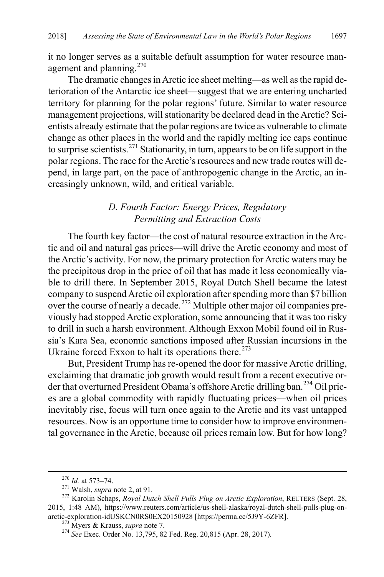it no longer serves as a suitable default assumption for water resource man-agement and planning.<sup>[270](#page-43-0)</sup>

The dramatic changes in Arctic ice sheet melting—as well as the rapid deterioration of the Antarctic ice sheet—suggest that we are entering uncharted territory for planning for the polar regions' future. Similar to water resource management projections, will stationarity be declared dead in the Arctic? Scientists already estimate that the polar regions are twice as vulnerable to climate change as other places in the world and the rapidly melting ice caps continue to surprise scientists.[271](#page-43-1) Stationarity, in turn, appears to be on life support in the polar regions. The race for the Arctic's resources and new trade routes will depend, in large part, on the pace of anthropogenic change in the Arctic, an increasingly unknown, wild, and critical variable.

#### *D. Fourth Factor: Energy Prices, Regulatory Permitting and Extraction Costs*

The fourth key factor—the cost of natural resource extraction in the Arctic and oil and natural gas prices—will drive the Arctic economy and most of the Arctic's activity. For now, the primary protection for Arctic waters may be the precipitous drop in the price of oil that has made it less economically viable to drill there. In September 2015, Royal Dutch Shell became the latest company to suspend Arctic oil exploration after spending more than \$7 billion over the course of nearly a decade.<sup>[272](#page-43-2)</sup> Multiple other major oil companies previously had stopped Arctic exploration, some announcing that it was too risky to drill in such a harsh environment. Although Exxon Mobil found oil in Russia's Kara Sea, economic sanctions imposed after Russian incursions in the Ukraine forced Exxon to halt its operations there.<sup>[273](#page-43-3)</sup>

But, President Trump has re-opened the door for massive Arctic drilling, exclaiming that dramatic job growth would result from a recent executive order that overturned President Obama's offshore Arctic drilling ban. [274](#page-43-4) Oil prices are a global commodity with rapidly fluctuating prices—when oil prices inevitably rise, focus will turn once again to the Arctic and its vast untapped resources. Now is an opportune time to consider how to improve environmental governance in the Arctic, because oil prices remain low. But for how long?

<span id="page-43-2"></span><span id="page-43-1"></span><span id="page-43-0"></span><sup>270</sup> *Id.* at 573–74. 271 Walsh, *supra* not[e 2,](#page-3-6) at 91. <sup>272</sup> Karolin Schaps, *Royal Dutch Shell Pulls Plug on Arctic Exploration*, REUTERS (Sept. 28, 2015, 1:48 AM), https://www.reuters.com/article/us-shell-alaska/royal-dutch-shell-pulls-plug-onarctic-exploration-idUSKCN0RS0EX20150928 [https://perma.cc/5J9Y-6ZFR].<br><sup>273</sup> Myers & Krauss, *supra* note [7.](#page-4-5)<br><sup>274</sup> *See* Exec. Order No. 13,795, 82 Fed. Reg. 20,815 (Apr. 28, 2017).

<span id="page-43-4"></span><span id="page-43-3"></span>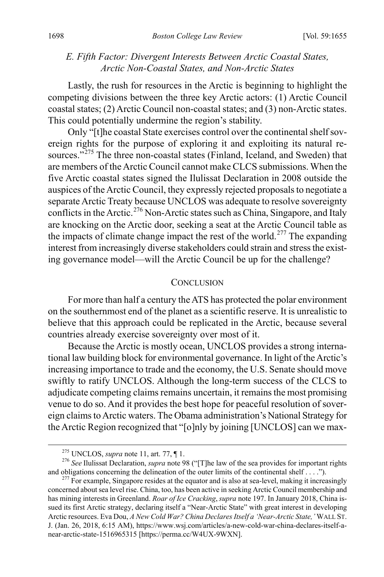#### *E. Fifth Factor: Divergent Interests Between Arctic Coastal States, Arctic Non-Coastal States, and Non-Arctic States*

Lastly, the rush for resources in the Arctic is beginning to highlight the competing divisions between the three key Arctic actors: (1) Arctic Council coastal states; (2) Arctic Council non-coastal states; and (3) non-Arctic states. This could potentially undermine the region's stability.

Only "[t]he coastal State exercises control over the continental shelf sovereign rights for the purpose of exploring it and exploiting its natural re-sources."<sup>[275](#page-44-0)</sup> The three non-coastal states (Finland, Iceland, and Sweden) that are members of the Arctic Council cannot make CLCS submissions. When the five Arctic coastal states signed the Ilulissat Declaration in 2008 outside the auspices of the Arctic Council, they expressly rejected proposals to negotiate a separate Arctic Treaty because UNCLOS was adequate to resolve sovereignty conflicts in the Arctic.<sup>276</sup> Non-Arctic states such as China, Singapore, and Italy are knocking on the Arctic door, seeking a seat at the Arctic Council table as the impacts of climate change impact the rest of the world.<sup>[277](#page-44-2)</sup> The expanding interest from increasingly diverse stakeholders could strain and stress the existing governance model—will the Arctic Council be up for the challenge?

#### **CONCLUSION**

For more than half a century the ATS has protected the polar environment on the southernmost end of the planet as a scientific reserve. It is unrealistic to believe that this approach could be replicated in the Arctic, because several countries already exercise sovereignty over most of it.

Because the Arctic is mostly ocean, UNCLOS provides a strong international law building block for environmental governance. In light of the Arctic's increasing importance to trade and the economy, the U.S. Senate should move swiftly to ratify UNCLOS. Although the long-term success of the CLCS to adjudicate competing claims remains uncertain, it remains the most promising venue to do so. And it provides the best hope for peaceful resolution of sovereign claims to Arctic waters. The Obama administration's National Strategy for the Arctic Region recognized that "[o]nly by joining [UNCLOS] can we max-

<span id="page-44-1"></span><span id="page-44-0"></span><sup>&</sup>lt;sup>275</sup> UNCLOS, *supra* not[e 11,](#page-5-2) art. 77, ¶ 1.<br><sup>276</sup> *See* Ilulissat Declaration, *supra* note [98](#page-18-2) ("[T]he law of the sea provides for important rights and obligations concerning the delineation of the outer limits of the con

<span id="page-44-2"></span> $277$  For example, Singapore resides at the equator and is also at sea-level, making it increasingly concerned about sea level rise. China, too, has been active in seeking Arctic Council membership and has mining interests in Greenland. *Roar of Ice Cracking*,*supra* not[e 197.](#page-31-8) In January 2018, China issued its first Arctic strategy, declaring itself a "Near-Arctic State" with great interest in developing Arctic resources. Eva Dou, *A New Cold War? China Declares Itself a 'Near-Arctic State,'* WALL ST. J. (Jan. 26, 2018, 6:15 AM), https://www.wsj.com/articles/a-new-cold-war-china-declares-itself-anear-arctic-state-1516965315 [https://perma.cc/W4UX-9WXN].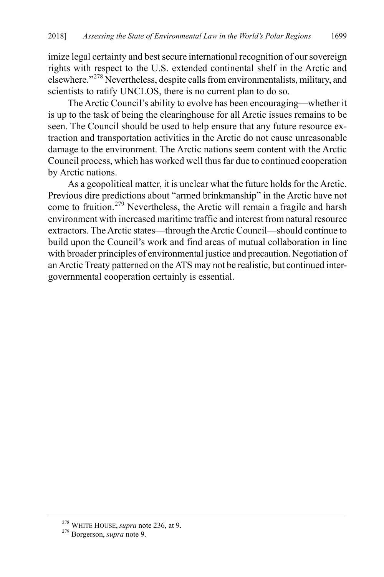imize legal certainty and best secure international recognition of our sovereign rights with respect to the U.S. extended continental shelf in the Arctic and elsewhere."[278](#page-45-1) Nevertheless, despite calls from environmentalists, military, and scientists to ratify UNCLOS, there is no current plan to do so.

The Arctic Council's ability to evolve has been encouraging—whether it is up to the task of being the clearinghouse for all Arctic issues remains to be seen. The Council should be used to help ensure that any future resource extraction and transportation activities in the Arctic do not cause unreasonable damage to the environment. The Arctic nations seem content with the Arctic Council process, which has worked well thus far due to continued cooperation by Arctic nations.

<span id="page-45-0"></span>As a geopolitical matter, it is unclear what the future holds for the Arctic. Previous dire predictions about "armed brinkmanship" in the Arctic have not come to fruition.<sup>[279](#page-45-2)</sup> Nevertheless, the Arctic will remain a fragile and harsh environment with increased maritime traffic and interest from natural resource extractors. The Arctic states—through the Arctic Council—should continue to build upon the Council's work and find areas of mutual collaboration in line with broader principles of environmental justice and precaution. Negotiation of an Arctic Treaty patterned on the ATS may not be realistic, but continued intergovernmental cooperation certainly is essential.

<span id="page-45-2"></span><span id="page-45-1"></span><sup>278</sup> WHITE HOUSE, *supra* not[e 236,](#page-37-4) at 9. 279 Borgerson, *supra* not[e 9.](#page-4-6)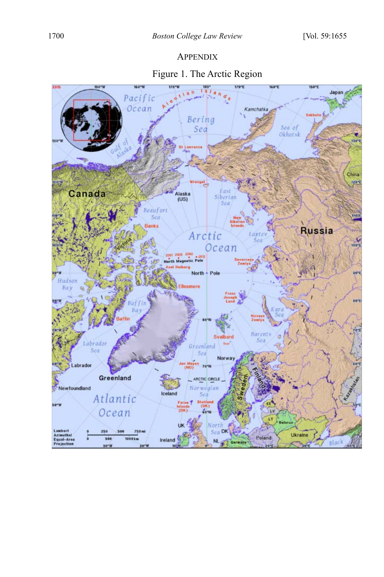**APPENDIX** 

# Figure 1. The Arctic Region